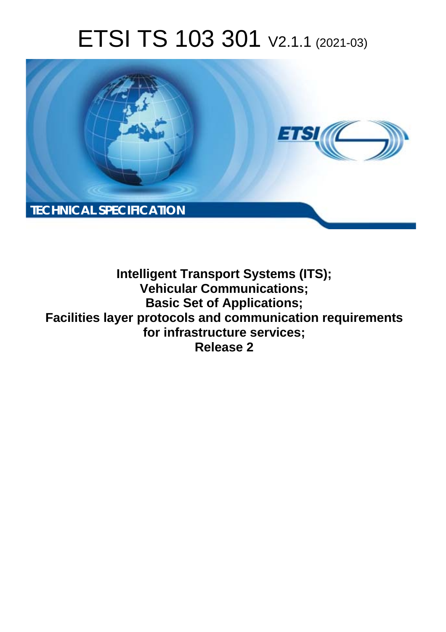# ETSI TS 103 301 V2.1.1 (2021-03)



**Intelligent Transport Systems (ITS); Vehicular Communications; Basic Set of Applications; Facilities layer protocols and communication requirements for infrastructure services; Release 2**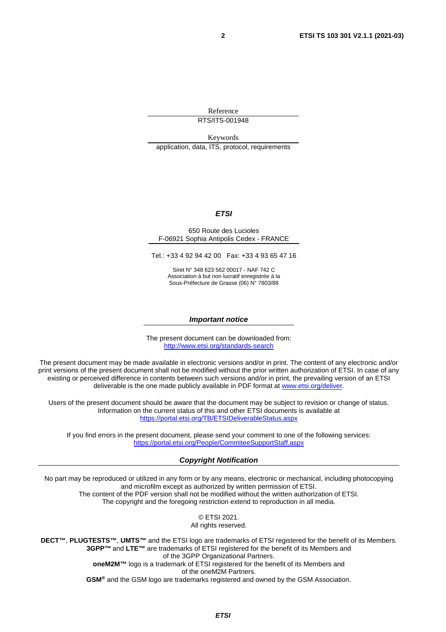Reference RTS/ITS-001948

Keywords application, data, ITS, protocol, requirements

#### *ETSI*

#### 650 Route des Lucioles F-06921 Sophia Antipolis Cedex - FRANCE

Tel.: +33 4 92 94 42 00 Fax: +33 4 93 65 47 16

Siret N° 348 623 562 00017 - NAF 742 C Association à but non lucratif enregistrée à la Sous-Préfecture de Grasse (06) N° 7803/88

#### *Important notice*

The present document can be downloaded from: <http://www.etsi.org/standards-search>

The present document may be made available in electronic versions and/or in print. The content of any electronic and/or print versions of the present document shall not be modified without the prior written authorization of ETSI. In case of any existing or perceived difference in contents between such versions and/or in print, the prevailing version of an ETSI deliverable is the one made publicly available in PDF format at [www.etsi.org/deliver](http://www.etsi.org/deliver).

Users of the present document should be aware that the document may be subject to revision or change of status. Information on the current status of this and other ETSI documents is available at <https://portal.etsi.org/TB/ETSIDeliverableStatus.aspx>

If you find errors in the present document, please send your comment to one of the following services: <https://portal.etsi.org/People/CommiteeSupportStaff.aspx>

#### *Copyright Notification*

No part may be reproduced or utilized in any form or by any means, electronic or mechanical, including photocopying and microfilm except as authorized by written permission of ETSI. The content of the PDF version shall not be modified without the written authorization of ETSI. The copyright and the foregoing restriction extend to reproduction in all media.

> © ETSI 2021. All rights reserved.

**DECT™**, **PLUGTESTS™**, **UMTS™** and the ETSI logo are trademarks of ETSI registered for the benefit of its Members. **3GPP™** and **LTE™** are trademarks of ETSI registered for the benefit of its Members and of the 3GPP Organizational Partners. **oneM2M™** logo is a trademark of ETSI registered for the benefit of its Members and of the oneM2M Partners. **GSM®** and the GSM logo are trademarks registered and owned by the GSM Association.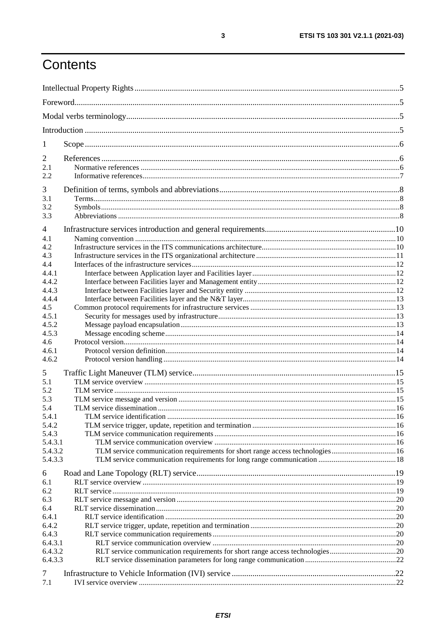# Contents

| 1              |                                                                               |  |  |  |
|----------------|-------------------------------------------------------------------------------|--|--|--|
| 2              |                                                                               |  |  |  |
| 2.1<br>2.2     |                                                                               |  |  |  |
| 3              |                                                                               |  |  |  |
| 3.1            |                                                                               |  |  |  |
| 3.2            |                                                                               |  |  |  |
| 3.3            |                                                                               |  |  |  |
| $\overline{4}$ |                                                                               |  |  |  |
| 4.1            |                                                                               |  |  |  |
| 4.2            |                                                                               |  |  |  |
| 4.3            |                                                                               |  |  |  |
| 4.4            |                                                                               |  |  |  |
| 4.4.1          |                                                                               |  |  |  |
| 4.4.2          |                                                                               |  |  |  |
| 4.4.3          |                                                                               |  |  |  |
| 4.4.4          |                                                                               |  |  |  |
| 4.5<br>4.5.1   |                                                                               |  |  |  |
| 4.5.2          |                                                                               |  |  |  |
| 4.5.3          |                                                                               |  |  |  |
| 4.6            |                                                                               |  |  |  |
| 4.6.1          |                                                                               |  |  |  |
| 4.6.2          |                                                                               |  |  |  |
| 5              |                                                                               |  |  |  |
| 5.1            |                                                                               |  |  |  |
| 5.2            |                                                                               |  |  |  |
| 5.3            |                                                                               |  |  |  |
| 5.4            |                                                                               |  |  |  |
| 5.4.1          |                                                                               |  |  |  |
| 5.4.2          |                                                                               |  |  |  |
| 5.4.3          |                                                                               |  |  |  |
| 5.4.3.1        |                                                                               |  |  |  |
| 5.4.3.2        | TLM service communication requirements for short range access technologies 16 |  |  |  |
| 5.4.3.3        |                                                                               |  |  |  |
| 6              |                                                                               |  |  |  |
| 6.1            |                                                                               |  |  |  |
| 6.2            |                                                                               |  |  |  |
| 6.3            |                                                                               |  |  |  |
| 6.4            |                                                                               |  |  |  |
| 6.4.1          |                                                                               |  |  |  |
| 6.4.2          |                                                                               |  |  |  |
| 6.4.3          |                                                                               |  |  |  |
| 6.4.3.1        |                                                                               |  |  |  |
| 6.4.3.2        | RLT service communication requirements for short range access technologies20  |  |  |  |
| 6.4.3.3        |                                                                               |  |  |  |
| 7              |                                                                               |  |  |  |
| 7.1            |                                                                               |  |  |  |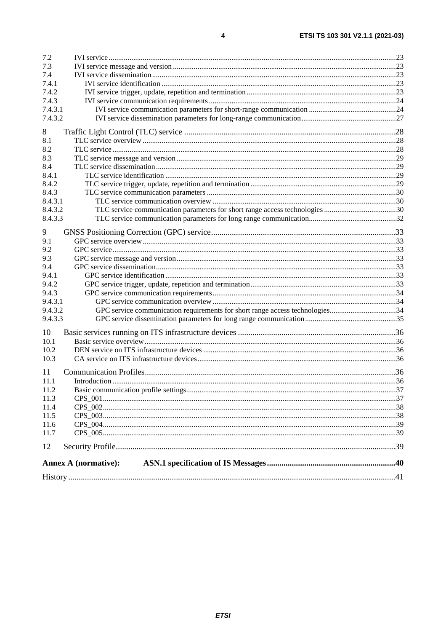| 7.2     |                                                                              |  |
|---------|------------------------------------------------------------------------------|--|
| 7.3     |                                                                              |  |
| 7.4     |                                                                              |  |
| 7.4.1   |                                                                              |  |
| 7.4.2   |                                                                              |  |
| 7.4.3   |                                                                              |  |
| 7.4.3.1 |                                                                              |  |
| 7.4.3.2 |                                                                              |  |
| 8       |                                                                              |  |
| 8.1     |                                                                              |  |
| 8.2     |                                                                              |  |
| 8.3     |                                                                              |  |
| 8.4     |                                                                              |  |
| 8.4.1   |                                                                              |  |
| 8.4.2   |                                                                              |  |
| 8.4.3   |                                                                              |  |
| 8.4.3.1 |                                                                              |  |
| 8.4.3.2 |                                                                              |  |
| 8.4.3.3 |                                                                              |  |
| 9       |                                                                              |  |
| 9.1     |                                                                              |  |
| 9.2     |                                                                              |  |
| 9.3     |                                                                              |  |
| 9.4     |                                                                              |  |
| 9.4.1   |                                                                              |  |
| 9.4.2   |                                                                              |  |
| 9.4.3   |                                                                              |  |
| 9.4.3.1 |                                                                              |  |
| 9.4.3.2 | GPC service communication requirements for short range access technologies34 |  |
| 9.4.3.3 |                                                                              |  |
| 10      |                                                                              |  |
| 10.1    |                                                                              |  |
| 10.2    |                                                                              |  |
| 10.3    |                                                                              |  |
| 11      |                                                                              |  |
| 11.1    |                                                                              |  |
| 11.2    |                                                                              |  |
| 11.3    |                                                                              |  |
| 11.4    |                                                                              |  |
| 11.5    |                                                                              |  |
| 11.6    |                                                                              |  |
| 11.7    |                                                                              |  |
| 12      |                                                                              |  |
|         |                                                                              |  |
|         | <b>Annex A (normative):</b>                                                  |  |
|         |                                                                              |  |
|         |                                                                              |  |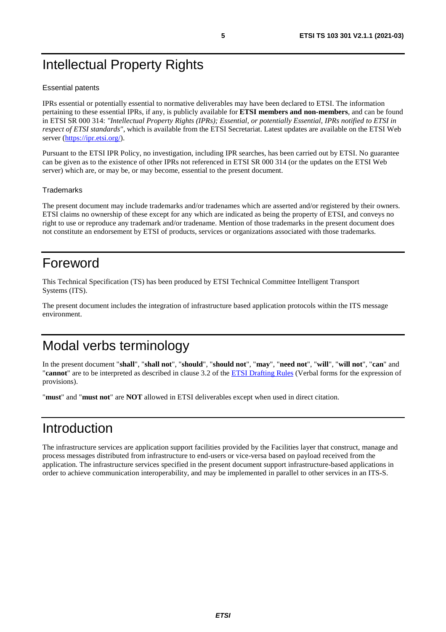# <span id="page-4-0"></span>Intellectual Property Rights

#### Essential patents

IPRs essential or potentially essential to normative deliverables may have been declared to ETSI. The information pertaining to these essential IPRs, if any, is publicly available for **ETSI members and non-members**, and can be found in ETSI SR 000 314: *"Intellectual Property Rights (IPRs); Essential, or potentially Essential, IPRs notified to ETSI in respect of ETSI standards"*, which is available from the ETSI Secretariat. Latest updates are available on the ETSI Web server [\(https://ipr.etsi.org/](https://ipr.etsi.org/)).

Pursuant to the ETSI IPR Policy, no investigation, including IPR searches, has been carried out by ETSI. No guarantee can be given as to the existence of other IPRs not referenced in ETSI SR 000 314 (or the updates on the ETSI Web server) which are, or may be, or may become, essential to the present document.

#### **Trademarks**

The present document may include trademarks and/or tradenames which are asserted and/or registered by their owners. ETSI claims no ownership of these except for any which are indicated as being the property of ETSI, and conveys no right to use or reproduce any trademark and/or tradename. Mention of those trademarks in the present document does not constitute an endorsement by ETSI of products, services or organizations associated with those trademarks.

# Foreword

This Technical Specification (TS) has been produced by ETSI Technical Committee Intelligent Transport Systems (ITS).

The present document includes the integration of infrastructure based application protocols within the ITS message environment.

# Modal verbs terminology

In the present document "**shall**", "**shall not**", "**should**", "**should not**", "**may**", "**need not**", "**will**", "**will not**", "**can**" and "**cannot**" are to be interpreted as described in clause 3.2 of the [ETSI Drafting Rules](https://portal.etsi.org/Services/editHelp!/Howtostart/ETSIDraftingRules.aspx) (Verbal forms for the expression of provisions).

"**must**" and "**must not**" are **NOT** allowed in ETSI deliverables except when used in direct citation.

# Introduction

The infrastructure services are application support facilities provided by the Facilities layer that construct, manage and process messages distributed from infrastructure to end-users or vice-versa based on payload received from the application. The infrastructure services specified in the present document support infrastructure-based applications in order to achieve communication interoperability, and may be implemented in parallel to other services in an ITS-S.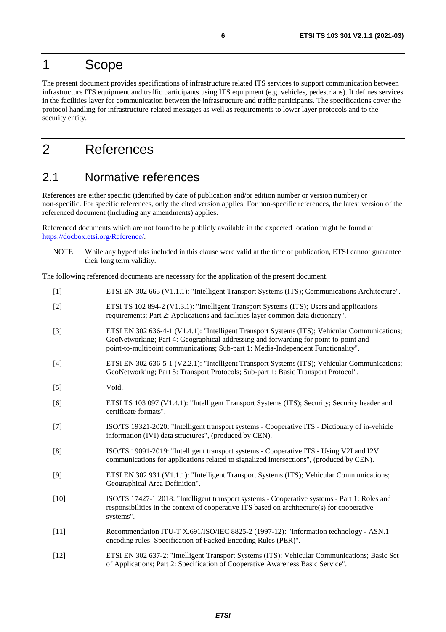# <span id="page-5-0"></span>1 Scope

The present document provides specifications of infrastructure related ITS services to support communication between infrastructure ITS equipment and traffic participants using ITS equipment (e.g. vehicles, pedestrians). It defines services in the facilities layer for communication between the infrastructure and traffic participants. The specifications cover the protocol handling for infrastructure-related messages as well as requirements to lower layer protocols and to the security entity.

# 2 References

### 2.1 Normative references

References are either specific (identified by date of publication and/or edition number or version number) or non-specific. For specific references, only the cited version applies. For non-specific references, the latest version of the referenced document (including any amendments) applies.

Referenced documents which are not found to be publicly available in the expected location might be found at <https://docbox.etsi.org/Reference/>.

NOTE: While any hyperlinks included in this clause were valid at the time of publication, ETSI cannot guarantee their long term validity.

The following referenced documents are necessary for the application of the present document.

| $[1]$  | ETSI EN 302 665 (V1.1.1): "Intelligent Transport Systems (ITS); Communications Architecture".                                                                                                                                                                              |
|--------|----------------------------------------------------------------------------------------------------------------------------------------------------------------------------------------------------------------------------------------------------------------------------|
| $[2]$  | ETSI TS 102 894-2 (V1.3.1): "Intelligent Transport Systems (ITS); Users and applications<br>requirements; Part 2: Applications and facilities layer common data dictionary".                                                                                               |
| $[3]$  | ETSI EN 302 636-4-1 (V1.4.1): "Intelligent Transport Systems (ITS); Vehicular Communications;<br>GeoNetworking; Part 4: Geographical addressing and forwarding for point-to-point and<br>point-to-multipoint communications; Sub-part 1: Media-Independent Functionality". |
| $[4]$  | ETSI EN 302 636-5-1 (V2.2.1): "Intelligent Transport Systems (ITS); Vehicular Communications;<br>GeoNetworking; Part 5: Transport Protocols; Sub-part 1: Basic Transport Protocol".                                                                                        |
| $[5]$  | Void.                                                                                                                                                                                                                                                                      |
| [6]    | ETSI TS 103 097 (V1.4.1): "Intelligent Transport Systems (ITS); Security; Security header and<br>certificate formats".                                                                                                                                                     |
| $[7]$  | ISO/TS 19321-2020: "Intelligent transport systems - Cooperative ITS - Dictionary of in-vehicle<br>information (IVI) data structures", (produced by CEN).                                                                                                                   |
| [8]    | ISO/TS 19091-2019: "Intelligent transport systems - Cooperative ITS - Using V2I and I2V<br>communications for applications related to signalized intersections", (produced by CEN).                                                                                        |
| $[9]$  | ETSI EN 302 931 (V1.1.1): "Intelligent Transport Systems (ITS); Vehicular Communications;<br>Geographical Area Definition".                                                                                                                                                |
| $[10]$ | ISO/TS 17427-1:2018: "Intelligent transport systems - Cooperative systems - Part 1: Roles and<br>responsibilities in the context of cooperative ITS based on architecture(s) for cooperative<br>systems".                                                                  |
| $[11]$ | Recommendation ITU-T X.691/ISO/IEC 8825-2 (1997-12): "Information technology - ASN.1<br>encoding rules: Specification of Packed Encoding Rules (PER)".                                                                                                                     |
| $[12]$ | ETSI EN 302 637-2: "Intelligent Transport Systems (ITS); Vehicular Communications; Basic Set<br>of Applications; Part 2: Specification of Cooperative Awareness Basic Service".                                                                                            |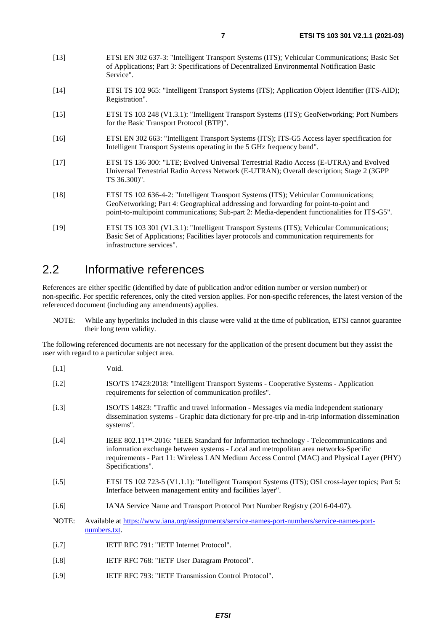- <span id="page-6-0"></span>[13] ETSI EN 302 637-3: "Intelligent Transport Systems (ITS); Vehicular Communications; Basic Set of Applications; Part 3: Specifications of Decentralized Environmental Notification Basic Service".
- [14] ETSI TS 102 965: "Intelligent Transport Systems (ITS); Application Object Identifier (ITS-AID); Registration".
- [15] ETSI TS 103 248 (V1.3.1): "Intelligent Transport Systems (ITS); GeoNetworking; Port Numbers for the Basic Transport Protocol (BTP)".
- [16] ETSI EN 302 663: "Intelligent Transport Systems (ITS); ITS-G5 Access layer specification for Intelligent Transport Systems operating in the 5 GHz frequency band".
- [17] ETSI TS 136 300: "LTE; Evolved Universal Terrestrial Radio Access (E-UTRA) and Evolved Universal Terrestrial Radio Access Network (E-UTRAN); Overall description; Stage 2 (3GPP TS 36.300)".
- [18] ETSI TS 102 636-4-2: "Intelligent Transport Systems (ITS); Vehicular Communications; GeoNetworking; Part 4: Geographical addressing and forwarding for point-to-point and point-to-multipoint communications; Sub-part 2: Media-dependent functionalities for ITS-G5".
- [19] ETSI TS 103 301 (V1.3.1): "Intelligent Transport Systems (ITS); Vehicular Communications; Basic Set of Applications; Facilities layer protocols and communication requirements for infrastructure services".

### 2.2 Informative references

References are either specific (identified by date of publication and/or edition number or version number) or non-specific. For specific references, only the cited version applies. For non-specific references, the latest version of the referenced document (including any amendments) applies.

NOTE: While any hyperlinks included in this clause were valid at the time of publication, ETSI cannot guarantee their long term validity.

The following referenced documents are not necessary for the application of the present document but they assist the user with regard to a particular subject area.

- [i.1] Void. [i.2] ISO/TS 17423:2018: "Intelligent Transport Systems - Cooperative Systems - Application requirements for selection of communication profiles". [i.3] ISO/TS 14823: "Traffic and travel information - Messages via media independent stationary dissemination systems - Graphic data dictionary for pre-trip and in-trip information dissemination systems". [i.4] IEEE 802.11™-2016: "IEEE Standard for Information technology - Telecommunications and information exchange between systems - Local and metropolitan area networks-Specific requirements - Part 11: Wireless LAN Medium Access Control (MAC) and Physical Layer (PHY) Specifications". [i.5] ETSI TS 102 723-5 (V1.1.1): "Intelligent Transport Systems (ITS); OSI cross-layer topics; Part 5: Interface between management entity and facilities layer". [i.6] IANA Service Name and Transport Protocol Port Number Registry (2016-04-07). NOTE: Available at [https://www.iana.org/assignments/service-names-port-numbers/service-names-port](https://www.iana.org/assignments/service-names-port-numbers/service-names-port-numbers.txt)[numbers.txt.](https://www.iana.org/assignments/service-names-port-numbers/service-names-port-numbers.txt) [i.7] IETF RFC 791: "IETF Internet Protocol".
	- [i.8] IETF RFC 768: "IETF User Datagram Protocol".
	- [i.9] IETF RFC 793: "IETF Transmission Control Protocol".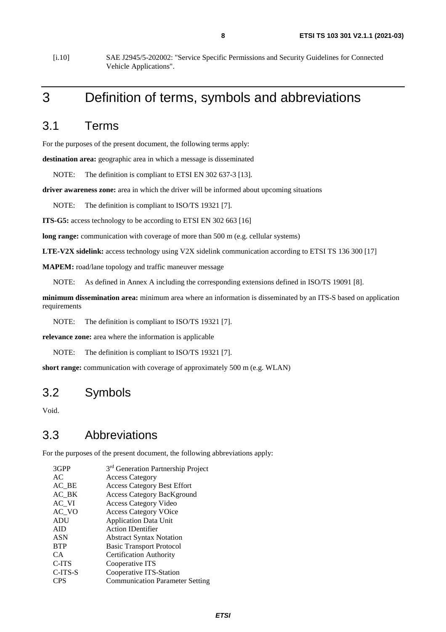<span id="page-7-0"></span>[i.10] SAE J2945/5-202002: "Service Specific Permissions and Security Guidelines for Connected Vehicle Applications".

# 3 Definition of terms, symbols and abbreviations

### 3.1 Terms

For the purposes of the present document, the following terms apply:

**destination area:** geographic area in which a message is disseminated

NOTE: The definition is compliant to ETSI EN 302 637-3 [\[13](#page-6-0)].

**driver awareness zone:** area in which the driver will be informed about upcoming situations

NOTE: The definition is compliant to ISO/TS 19321 [\[7](#page-5-0)].

**ITS-G5:** access technology to be according to ETSI EN 302 663 [[16](#page-6-0)]

**long range:** communication with coverage of more than 500 m (e.g. cellular systems)

**LTE-V2X sidelink:** access technology using V2X sidelink communication according to ETSI TS 136 300 [\[17](#page-6-0)]

**MAPEM:** road/lane topology and traffic maneuver message

NOTE: As defined in [Annex A](#page-39-0) including the corresponding extensions defined in ISO/TS 19091 [\[8](#page-5-0)].

**minimum dissemination area:** minimum area where an information is disseminated by an ITS-S based on application requirements

NOTE: The definition is compliant to ISO/TS 19321 [\[7](#page-5-0)].

**relevance zone:** area where the information is applicable

NOTE: The definition is compliant to ISO/TS 19321 [\[7](#page-5-0)].

**short range:** communication with coverage of approximately 500 m (e.g. WLAN)

### 3.2 Symbols

Void.

### 3.3 Abbreviations

For the purposes of the present document, the following abbreviations apply:

| 3GPP       | 3 <sup>rd</sup> Generation Partnership Project |
|------------|------------------------------------------------|
| AC         | <b>Access Category</b>                         |
| $AC$ $BE$  | <b>Access Category Best Effort</b>             |
| AC BK      | <b>Access Category BacKground</b>              |
| AC VI      | <b>Access Category Video</b>                   |
| AC VO      | <b>Access Category VOice</b>                   |
| <b>ADU</b> | <b>Application Data Unit</b>                   |
| <b>AID</b> | <b>Action IDentifier</b>                       |
| <b>ASN</b> | <b>Abstract Syntax Notation</b>                |
| <b>BTP</b> | <b>Basic Transport Protocol</b>                |
| CA.        | <b>Certification Authority</b>                 |
| C-ITS      | Cooperative ITS                                |
| C-ITS-S    | Cooperative ITS-Station                        |
| CPS        | <b>Communication Parameter Setting</b>         |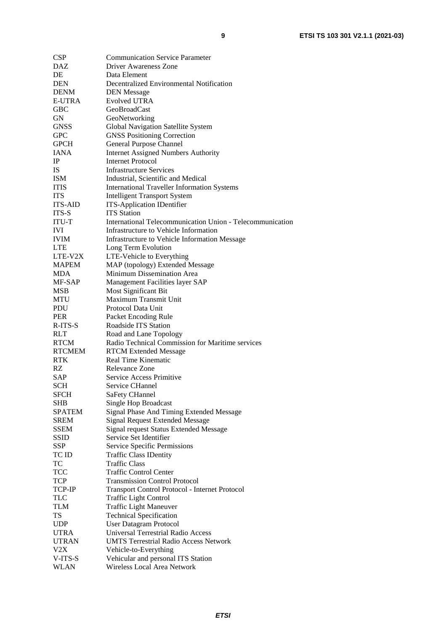| <b>CSP</b>     | <b>Communication Service Parameter</b>                    |
|----------------|-----------------------------------------------------------|
| <b>DAZ</b>     | <b>Driver Awareness Zone</b>                              |
| DE             | Data Element                                              |
| DEN            | Decentralized Environmental Notification                  |
| <b>DENM</b>    | <b>DEN</b> Message                                        |
| <b>E-UTRA</b>  | <b>Evolved UTRA</b>                                       |
| <b>GBC</b>     | <b>GeoBroadCast</b>                                       |
| GN             | GeoNetworking                                             |
| <b>GNSS</b>    | Global Navigation Satellite System                        |
| <b>GPC</b>     | <b>GNSS Positioning Correction</b>                        |
| <b>GPCH</b>    | General Purpose Channel                                   |
|                |                                                           |
| IANA           | <b>Internet Assigned Numbers Authority</b>                |
| $\rm IP$       | <b>Internet Protocol</b>                                  |
| IS             | <b>Infrastructure Services</b>                            |
| <b>ISM</b>     | Industrial, Scientific and Medical                        |
| <b>ITIS</b>    | <b>International Traveller Information Systems</b>        |
| <b>ITS</b>     | <b>Intelligent Transport System</b>                       |
| <b>ITS-AID</b> | <b>ITS-Application IDentifier</b>                         |
| ITS-S          | <b>ITS</b> Station                                        |
| <b>ITU-T</b>   | International Telecommunication Union - Telecommunication |
| <b>IVI</b>     | Infrastructure to Vehicle Information                     |
| <b>IVIM</b>    | Infrastructure to Vehicle Information Message             |
| <b>LTE</b>     | Long Term Evolution                                       |
| LTE-V2X        | LTE-Vehicle to Everything                                 |
| <b>MAPEM</b>   | MAP (topology) Extended Message                           |
| <b>MDA</b>     | Minimum Dissemination Area                                |
| MF-SAP         | Management Facilities layer SAP                           |
| <b>MSB</b>     | Most Significant Bit                                      |
| MTU            | Maximum Transmit Unit                                     |
| PDU            | Protocol Data Unit                                        |
|                |                                                           |
| <b>PER</b>     | Packet Encoding Rule                                      |
| R-ITS-S        | Roadside ITS Station                                      |
| <b>RLT</b>     | Road and Lane Topology                                    |
| <b>RTCM</b>    | Radio Technical Commission for Maritime services          |
| <b>RTCMEM</b>  | <b>RTCM Extended Message</b>                              |
| <b>RTK</b>     | Real Time Kinematic                                       |
| RZ             | Relevance Zone                                            |
| <b>SAP</b>     | Service Access Primitive                                  |
| SCH            | Service CHannel                                           |
| <b>SFCH</b>    | SaFety CHannel                                            |
| <b>SHB</b>     | Single Hop Broadcast                                      |
| <b>SPATEM</b>  | Signal Phase And Timing Extended Message                  |
| <b>SREM</b>    | <b>Signal Request Extended Message</b>                    |
| <b>SSEM</b>    | Signal request Status Extended Message                    |
| <b>SSID</b>    | Service Set Identifier                                    |
| SSP            | Service Specific Permissions                              |
| TC ID          | <b>Traffic Class IDentity</b>                             |
| TC             | Traffic Class                                             |
| <b>TCC</b>     | <b>Traffic Control Center</b>                             |
| <b>TCP</b>     | <b>Transmission Control Protocol</b>                      |
|                |                                                           |
| TCP-IP         | Transport Control Protocol - Internet Protocol            |
| <b>TLC</b>     | Traffic Light Control                                     |
| TLM            | <b>Traffic Light Maneuver</b>                             |
| TS             | <b>Technical Specification</b>                            |
| <b>UDP</b>     | User Datagram Protocol                                    |
| <b>UTRA</b>    | <b>Universal Terrestrial Radio Access</b>                 |
| <b>UTRAN</b>   | <b>UMTS Terrestrial Radio Access Network</b>              |
| V2X            | Vehicle-to-Everything                                     |
| V-ITS-S        | Vehicular and personal ITS Station                        |
| <b>WLAN</b>    | Wireless Local Area Network                               |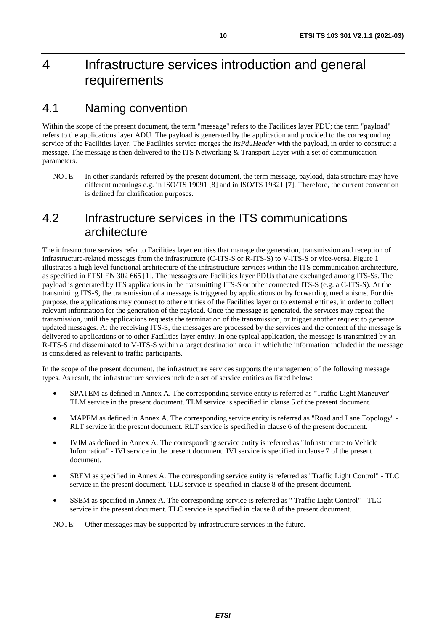# <span id="page-9-0"></span>4 Infrastructure services introduction and general requirements

### 4.1 Naming convention

Within the scope of the present document, the term "message" refers to the Facilities layer PDU; the term "payload" refers to the applications layer ADU. The payload is generated by the application and provided to the corresponding service of the Facilities layer. The Facilities service merges the *ItsPduHeader* with the payload, in order to construct a message. The message is then delivered to the ITS Networking & Transport Layer with a set of communication parameters.

NOTE: In other standards referred by the present document, the term message, payload, data structure may have different meanings e.g. in ISO/TS 19091 [\[8](#page-5-0)] and in ISO/TS 19321 [\[7](#page-5-0)]. Therefore, the current convention is defined for clarification purposes.

### 4.2 Infrastructure services in the ITS communications architecture

The infrastructure services refer to Facilities layer entities that manage the generation, transmission and reception of infrastructure-related messages from the infrastructure (C-ITS-S or R-ITS-S) to V-ITS-S or vice-versa. [Figure 1](#page-10-0) illustrates a high level functional architecture of the infrastructure services within the ITS communication architecture, as specified in ETSI EN 302 665 [\[1](#page-5-0)]. The messages are Facilities layer PDUs that are exchanged among ITS-Ss. The payload is generated by ITS applications in the transmitting ITS-S or other connected ITS-S (e.g. a C-ITS-S). At the transmitting ITS-S, the transmission of a message is triggered by applications or by forwarding mechanisms. For this purpose, the applications may connect to other entities of the Facilities layer or to external entities, in order to collect relevant information for the generation of the payload. Once the message is generated, the services may repeat the transmission, until the applications requests the termination of the transmission, or trigger another request to generate updated messages. At the receiving ITS-S, the messages are processed by the services and the content of the message is delivered to applications or to other Facilities layer entity. In one typical application, the message is transmitted by an R-ITS-S and disseminated to V-ITS-S within a target destination area, in which the information included in the message is considered as relevant to traffic participants.

In the scope of the present document, the infrastructure services supports the management of the following message types. As result, the infrastructure services include a set of service entities as listed below:

- SPATEM as defined in [Annex A](#page-39-0). The corresponding service entity is referred as "Traffic Light Maneuver" TLM service in the present document. TLM service is specified in clause [5](#page-14-0) of the present document.
- MAPEM as defined in [Annex A](#page-39-0). The corresponding service entity is referred as "Road and Lane Topology" -RLT service in the present document. RLT service is specified in clause [6](#page-18-0) of the present document.
- IVIM as defined in [Annex A](#page-39-0). The corresponding service entity is referred as "Infrastructure to Vehicle Information" - IVI service in the present document. IVI service is specified in clause 7 of the present document.
- SREM as specified in [Annex A](#page-39-0). The corresponding service entity is referred as "Traffic Light Control" TLC service in the present document. TLC service is specified in clause [8](#page-27-0) of the present document.
- SSEM as specified in [Annex A](#page-39-0). The corresponding service is referred as " Traffic Light Control" TLC service in the present document. TLC service is specified in clause 8 of the present document.

NOTE: Other messages may be supported by infrastructure services in the future.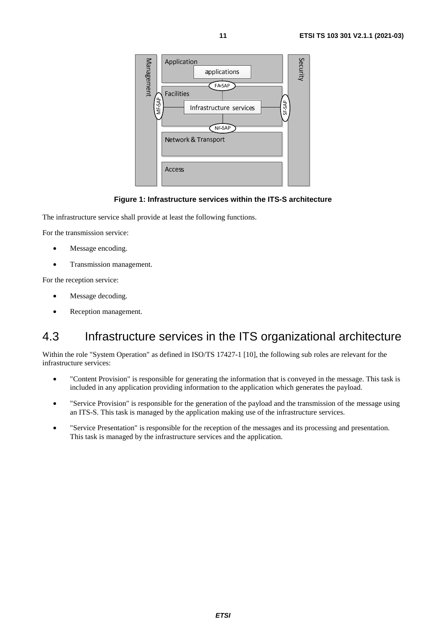<span id="page-10-0"></span>

#### **Figure 1: Infrastructure services within the ITS-S architecture**

The infrastructure service shall provide at least the following functions.

For the transmission service:

- Message encoding.
- Transmission management.

For the reception service:

- Message decoding.
- Reception management.

## 4.3 Infrastructure services in the ITS organizational architecture

Within the role "System Operation" as defined in ISO/TS 17427-1 [\[10](#page-5-0)], the following sub roles are relevant for the infrastructure services:

- "Content Provision" is responsible for generating the information that is conveyed in the message. This task is included in any application providing information to the application which generates the payload.
- "Service Provision" is responsible for the generation of the payload and the transmission of the message using an ITS-S. This task is managed by the application making use of the infrastructure services.
- "Service Presentation" is responsible for the reception of the messages and its processing and presentation. This task is managed by the infrastructure services and the application.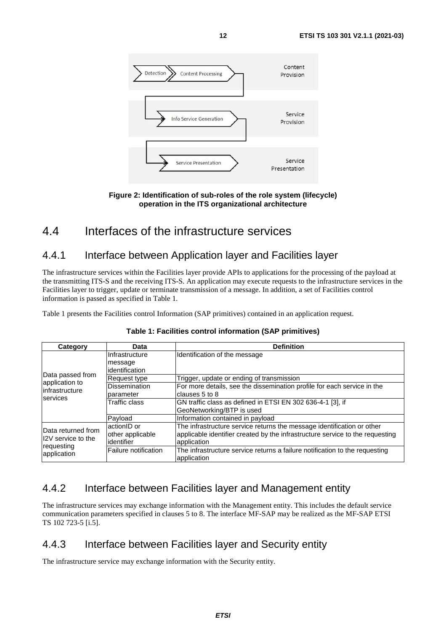<span id="page-11-0"></span>

**Figure 2: Identification of sub-roles of the role system (lifecycle) operation in the ITS organizational architecture** 

# 4.4 Interfaces of the infrastructure services

### 4.4.1 Interface between Application layer and Facilities layer

The infrastructure services within the Facilities layer provide APIs to applications for the processing of the payload at the transmitting ITS-S and the receiving ITS-S. An application may execute requests to the infrastructure services in the Facilities layer to trigger, update or terminate transmission of a message. In addition, a set of Facilities control information is passed as specified in Table 1.

Table 1 presents the Facilities control Information (SAP primitives) contained in an application request.

| Category                                      | Data                                           | <b>Definition</b>                                                                                                                                                      |
|-----------------------------------------------|------------------------------------------------|------------------------------------------------------------------------------------------------------------------------------------------------------------------------|
|                                               | IInfrastructure<br>message<br>lidentification  | Identification of the message                                                                                                                                          |
| Data passed from<br>Request type              |                                                | Trigger, update or ending of transmission                                                                                                                              |
| application to<br>linfrastructure<br>services | <b>Dissemination</b><br>parameter              | For more details, see the dissemination profile for each service in the<br>clauses 5 to 8                                                                              |
|                                               | Traffic class                                  | GN traffic class as defined in ETSI EN 302 636-4-1 [3], if<br>GeoNetworking/BTP is used                                                                                |
|                                               | Payload                                        | Information contained in payload                                                                                                                                       |
| Data returned from<br>I2V service to the      | actionID or<br>other applicable<br>lidentifier | The infrastructure service returns the message identification or other<br>applicable identifier created by the infrastructure service to the requesting<br>application |
| requesting<br>application                     | Failure notification                           | The infrastructure service returns a failure notification to the requesting<br>application                                                                             |

#### **Table 1: Facilities control information (SAP primitives)**

### 4.4.2 Interface between Facilities layer and Management entity

The infrastructure services may exchange information with the Management entity. This includes the default service communication parameters specified in clauses [5](#page-14-0) to [8](#page-27-0). The interface MF-SAP may be realized as the MF-SAP ETSI TS 102 723-5 [\[i.5](#page-6-0)].

### 4.4.3 Interface between Facilities layer and Security entity

The infrastructure service may exchange information with the Security entity.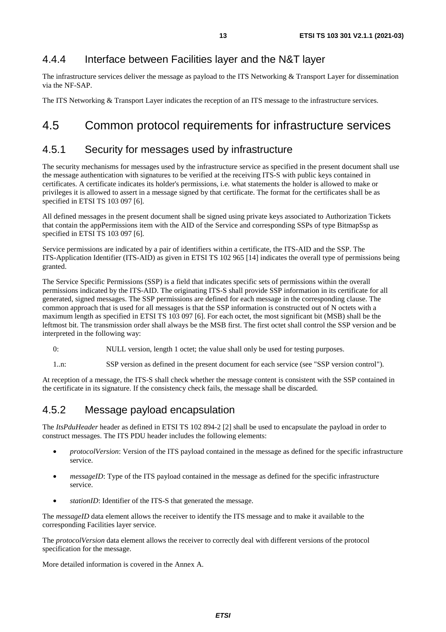### <span id="page-12-0"></span>4.4.4 Interface between Facilities layer and the N&T layer

The infrastructure services deliver the message as payload to the ITS Networking & Transport Layer for dissemination via the NF-SAP.

The ITS Networking & Transport Layer indicates the reception of an ITS message to the infrastructure services.

# 4.5 Common protocol requirements for infrastructure services

### 4.5.1 Security for messages used by infrastructure

The security mechanisms for messages used by the infrastructure service as specified in the present document shall use the message authentication with signatures to be verified at the receiving ITS-S with public keys contained in certificates. A certificate indicates its holder's permissions, i.e. what statements the holder is allowed to make or privileges it is allowed to assert in a message signed by that certificate. The format for the certificates shall be as specified in ETSI TS 103 097 [\[6](#page-5-0)].

All defined messages in the present document shall be signed using private keys associated to Authorization Tickets that contain the appPermissions item with the AID of the Service and corresponding SSPs of type BitmapSsp as specified in ETSI TS 103 097 [\[6](#page-5-0)].

Service permissions are indicated by a pair of identifiers within a certificate, the ITS-AID and the SSP. The ITS-Application Identifier (ITS-AID) as given in ETSI TS 102 965 [\[14](#page-6-0)] indicates the overall type of permissions being granted.

The Service Specific Permissions (SSP) is a field that indicates specific sets of permissions within the overall permissions indicated by the ITS-AID. The originating ITS-S shall provide SSP information in its certificate for all generated, signed messages. The SSP permissions are defined for each message in the corresponding clause. The common approach that is used for all messages is that the SSP information is constructed out of N octets with a maximum length as specified in ETSI TS 103 097 [\[6](#page-5-0)]. For each octet, the most significant bit (MSB) shall be the leftmost bit. The transmission order shall always be the MSB first. The first octet shall control the SSP version and be interpreted in the following way:

0: NULL version, length 1 octet; the value shall only be used for testing purposes.

1..n: SSP version as defined in the present document for each service (see "SSP version control").

At reception of a message, the ITS-S shall check whether the message content is consistent with the SSP contained in the certificate in its signature. If the consistency check fails, the message shall be discarded.

### 4.5.2 Message payload encapsulation

The *ItsPduHeader* header as defined in ETSI TS 102 894-2 [\[2](#page-5-0)] shall be used to encapsulate the payload in order to construct messages. The ITS PDU header includes the following elements:

- *protocolVersion*: Version of the ITS payload contained in the message as defined for the specific infrastructure service.
- *messageID*: Type of the ITS payload contained in the message as defined for the specific infrastructure service.
- *stationID*: Identifier of the ITS-S that generated the message.

The *messageID* data element allows the receiver to identify the ITS message and to make it available to the corresponding Facilities layer service.

The *protocolVersion* data element allows the receiver to correctly deal with different versions of the protocol specification for the message.

More detailed information is covered in the [Annex A](#page-39-0).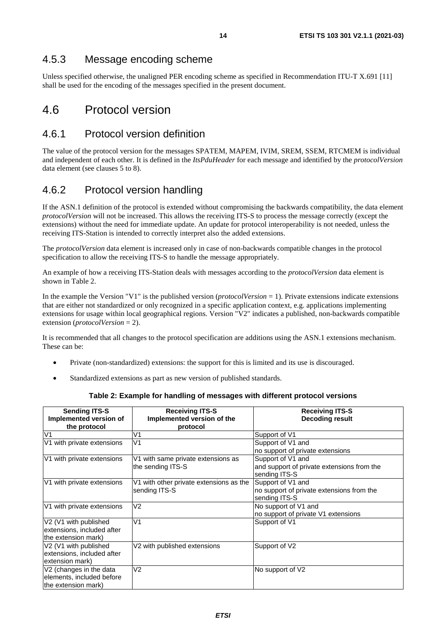### <span id="page-13-0"></span>4.5.3 Message encoding scheme

Unless specified otherwise, the unaligned PER encoding scheme as specified in Recommendation ITU-T X.691 [\[11](#page-5-0)] shall be used for the encoding of the messages specified in the present document.

# 4.6 Protocol version

### 4.6.1 Protocol version definition

The value of the protocol version for the messages SPATEM, MAPEM, IVIM, SREM, SSEM, RTCMEM is individual and independent of each other. It is defined in the *ItsPduHeader* for each message and identified by the *protocolVersion* data element (see clauses [5](#page-14-0) to [8](#page-27-0)).

### 4.6.2 Protocol version handling

If the ASN.1 definition of the protocol is extended without compromising the backwards compatibility, the data element *protocolVersion* will not be increased. This allows the receiving ITS-S to process the message correctly (except the extensions) without the need for immediate update. An update for protocol interoperability is not needed, unless the receiving ITS-Station is intended to correctly interpret also the added extensions.

The *protocolVersion* data element is increased only in case of non-backwards compatible changes in the protocol specification to allow the receiving ITS-S to handle the message appropriately.

An example of how a receiving ITS-Station deals with messages according to the *protocolVersion* data element is shown in Table 2.

In the example the Version "V1" is the published version (*protocolVersion* = 1). Private extensions indicate extensions that are either not standardized or only recognized in a specific application context, e.g. applications implementing extensions for usage within local geographical regions. Version "V2" indicates a published, non-backwards compatible extension (*protocolVersion* = 2).

It is recommended that all changes to the protocol specification are additions using the ASN.1 extensions mechanism. These can be:

- Private (non-standardized) extensions: the support for this is limited and its use is discouraged.
- Standardized extensions as part as new version of published standards.

| <b>Sending ITS-S</b><br>Implemented version of<br>the protocol | <b>Receiving ITS-S</b><br>Implemented version of the<br>protocol | <b>Receiving ITS-S</b><br><b>Decoding result</b> |
|----------------------------------------------------------------|------------------------------------------------------------------|--------------------------------------------------|
| V <sub>1</sub>                                                 | V1                                                               | Support of V1                                    |
| V1 with private extensions                                     | V <sub>1</sub>                                                   | Support of V1 and                                |
|                                                                |                                                                  | no support of private extensions                 |
| V1 with private extensions                                     | V1 with same private extensions as                               | Support of V1 and                                |
|                                                                | the sending ITS-S                                                | and support of private extensions from the       |
|                                                                |                                                                  | sending ITS-S                                    |
| V1 with private extensions                                     | V1 with other private extensions as the                          | Support of V1 and                                |
|                                                                | sending ITS-S                                                    | no support of private extensions from the        |
|                                                                |                                                                  | sending ITS-S                                    |
| V1 with private extensions                                     | V <sub>2</sub>                                                   | No support of V1 and                             |
|                                                                |                                                                  | no support of private V1 extensions              |
| V2 (V1 with published                                          | V <sub>1</sub>                                                   | Support of V1                                    |
| extensions, included after                                     |                                                                  |                                                  |
| the extension mark)                                            |                                                                  |                                                  |
| V <sub>2</sub> (V <sub>1</sub> with published                  | V2 with published extensions                                     | Support of V2                                    |
| extensions, included after                                     |                                                                  |                                                  |
| extension mark)                                                |                                                                  |                                                  |
| V2 (changes in the data                                        | V <sub>2</sub>                                                   | No support of V2                                 |
| elements, included before                                      |                                                                  |                                                  |
| the extension mark)                                            |                                                                  |                                                  |

#### **Table 2: Example for handling of messages with different protocol versions**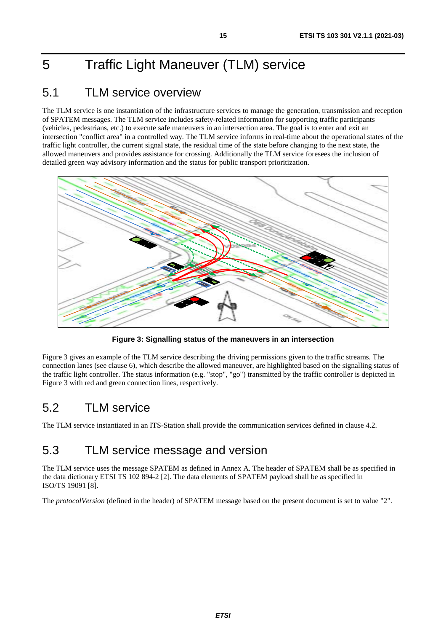# <span id="page-14-0"></span>5 Traffic Light Maneuver (TLM) service

# 5.1 TLM service overview

The TLM service is one instantiation of the infrastructure services to manage the generation, transmission and reception of SPATEM messages. The TLM service includes safety-related information for supporting traffic participants (vehicles, pedestrians, etc.) to execute safe maneuvers in an intersection area. The goal is to enter and exit an intersection "conflict area" in a controlled way. The TLM service informs in real-time about the operational states of the traffic light controller, the current signal state, the residual time of the state before changing to the next state, the allowed maneuvers and provides assistance for crossing. Additionally the TLM service foresees the inclusion of detailed green way advisory information and the status for public transport prioritization.



**Figure 3: Signalling status of the maneuvers in an intersection** 

Figure 3 gives an example of the TLM service describing the driving permissions given to the traffic streams. The connection lanes (see clause [6](#page-18-0)), which describe the allowed maneuver, are highlighted based on the signalling status of the traffic light controller. The status information (e.g. "stop", "go") transmitted by the traffic controller is depicted in Figure 3 with red and green connection lines, respectively.

# 5.2 TLM service

The TLM service instantiated in an ITS-Station shall provide the communication services defined in clause [4.2](#page-9-0).

# 5.3 TLM service message and version

The TLM service uses the message SPATEM as defined in [Annex A](#page-39-0). The header of SPATEM shall be as specified in the data dictionary ETSI TS 102 894-2 [[2](#page-5-0)]. The data elements of SPATEM payload shall be as specified in ISO/TS 19091 [\[8](#page-5-0)].

The *protocolVersion* (defined in the header) of SPATEM message based on the present document is set to value "2".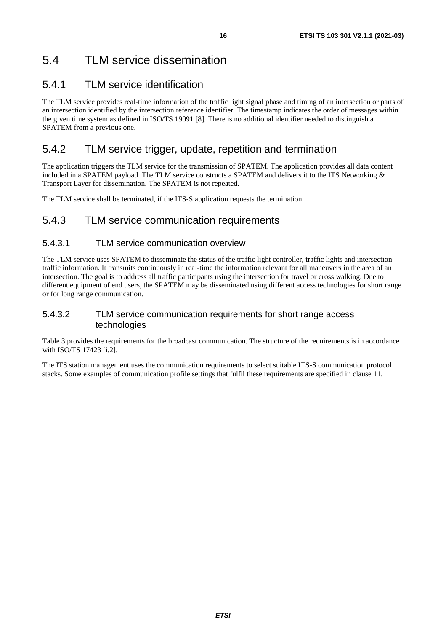# <span id="page-15-0"></span>5.4 TLM service dissemination

### 5.4.1 TLM service identification

The TLM service provides real-time information of the traffic light signal phase and timing of an intersection or parts of an intersection identified by the intersection reference identifier. The timestamp indicates the order of messages within the given time system as defined in ISO/TS 19091 [\[8](#page-5-0)]. There is no additional identifier needed to distinguish a SPATEM from a previous one.

### 5.4.2 TLM service trigger, update, repetition and termination

The application triggers the TLM service for the transmission of SPATEM. The application provides all data content included in a SPATEM payload. The TLM service constructs a SPATEM and delivers it to the ITS Networking & Transport Layer for dissemination. The SPATEM is not repeated.

The TLM service shall be terminated, if the ITS-S application requests the termination.

### 5.4.3 TLM service communication requirements

#### 5.4.3.1 TLM service communication overview

The TLM service uses SPATEM to disseminate the status of the traffic light controller, traffic lights and intersection traffic information. It transmits continuously in real-time the information relevant for all maneuvers in the area of an intersection. The goal is to address all traffic participants using the intersection for travel or cross walking. Due to different equipment of end users, the SPATEM may be disseminated using different access technologies for short range or for long range communication.

#### 5.4.3.2 TLM service communication requirements for short range access technologies

[Table 3](#page-16-0) provides the requirements for the broadcast communication. The structure of the requirements is in accordance with ISO/TS 17423 [\[i.2](#page-6-0)].

The ITS station management uses the communication requirements to select suitable ITS-S communication protocol stacks. Some examples of communication profile settings that fulfil these requirements are specified in clause [11](#page-35-0).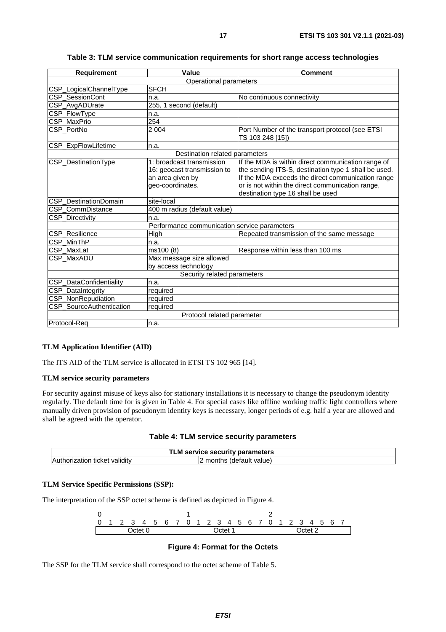<span id="page-16-0"></span>

| <b>Requirement</b>          | Value                                                                                            | <b>Comment</b>                                                                                                                                                                                                                                           |  |
|-----------------------------|--------------------------------------------------------------------------------------------------|----------------------------------------------------------------------------------------------------------------------------------------------------------------------------------------------------------------------------------------------------------|--|
|                             | Operational parameters                                                                           |                                                                                                                                                                                                                                                          |  |
| CSP_LogicalChannelType      | <b>SFCH</b>                                                                                      |                                                                                                                                                                                                                                                          |  |
| <b>CSP SessionCont</b>      | n.a.                                                                                             | No continuous connectivity                                                                                                                                                                                                                               |  |
| CSP_AvgADUrate              | 255, 1 second (default)                                                                          |                                                                                                                                                                                                                                                          |  |
| CSP_FlowType                | n.a.                                                                                             |                                                                                                                                                                                                                                                          |  |
| CSP MaxPrio                 | 254                                                                                              |                                                                                                                                                                                                                                                          |  |
| CSP_PortNo                  | 2 0 0 4                                                                                          | Port Number of the transport protocol (see ETSI<br>TS 103 248 [15])                                                                                                                                                                                      |  |
| CSP_ExpFlowLifetime         | n.a.                                                                                             |                                                                                                                                                                                                                                                          |  |
|                             | Destination related parameters                                                                   |                                                                                                                                                                                                                                                          |  |
| CSP_DestinationType         | 1: broadcast transmission<br>16: geocast transmission to<br>an area given by<br>geo-coordinates. | If the MDA is within direct communication range of<br>the sending ITS-S, destination type 1 shall be used.<br>If the MDA exceeds the direct communication range<br>or is not within the direct communication range,<br>destination type 16 shall be used |  |
| CSP_DestinationDomain       | site-local                                                                                       |                                                                                                                                                                                                                                                          |  |
| CSP CommDistance            | 400 m radius (default value)                                                                     |                                                                                                                                                                                                                                                          |  |
| CSP_Directivity             | n.a.                                                                                             |                                                                                                                                                                                                                                                          |  |
|                             | Performance communication service parameters                                                     |                                                                                                                                                                                                                                                          |  |
| CSP_Resilience              | High                                                                                             | Repeated transmission of the same message                                                                                                                                                                                                                |  |
| CSP MinThP                  | n.a.                                                                                             |                                                                                                                                                                                                                                                          |  |
| CSP_MaxLat                  | ms100 (8)                                                                                        | Response within less than 100 ms                                                                                                                                                                                                                         |  |
| CSP_MaxADU                  | Max message size allowed<br>by access technology                                                 |                                                                                                                                                                                                                                                          |  |
| Security related parameters |                                                                                                  |                                                                                                                                                                                                                                                          |  |
| CSP_DataConfidentiality     | n.a.                                                                                             |                                                                                                                                                                                                                                                          |  |
| CSP_DataIntegrity           | required                                                                                         |                                                                                                                                                                                                                                                          |  |
| CSP_NonRepudiation          | required                                                                                         |                                                                                                                                                                                                                                                          |  |
| CSP_SourceAuthentication    | required                                                                                         |                                                                                                                                                                                                                                                          |  |
| Protocol related parameter  |                                                                                                  |                                                                                                                                                                                                                                                          |  |
| lProtocol-Rea               | n.a.                                                                                             |                                                                                                                                                                                                                                                          |  |

**Table 3: TLM service communication requirements for short range access technologies** 

#### **TLM Application Identifier (AID)**

The ITS AID of the TLM service is allocated in ETSI TS 102 965 [\[14](#page-6-0)].

#### **TLM service security parameters**

For security against misuse of keys also for stationary installations it is necessary to change the pseudonym identity regularly. The default time for is given in Table 4. For special cases like offline working traffic light controllers where manually driven provision of pseudonym identity keys is necessary, longer periods of e.g. half a year are allowed and shall be agreed with the operator.

|  |  |  | Table 4: TLM service security parameters |
|--|--|--|------------------------------------------|
|--|--|--|------------------------------------------|

|                               | TLM service security parameters |  |
|-------------------------------|---------------------------------|--|
| Authorization ticket validity | months (default value)          |  |

#### **TLM Service Specific Permissions (SSP):**

The interpretation of the SSP octet scheme is defined as depicted in Figure 4.

0 1 2 0 1 2 3 4 5 6 7 0 1 2 3 4 5 6 7 0 1 2 3 4 5 6 7 Octet 0 Octet 1 Octet 2

#### **Figure 4: Format for the Octets**

The SSP for the TLM service shall correspond to the octet scheme of [Table 5](#page-17-0).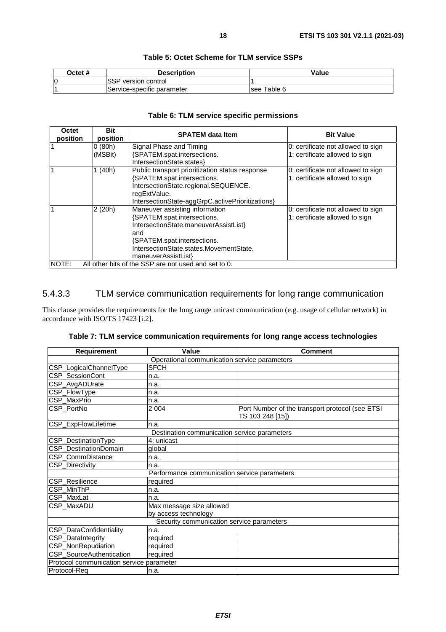<span id="page-17-0"></span>

| Octet # | <b>Description</b>         | Value       |
|---------|----------------------------|-------------|
| IO      | ISSP version control       |             |
|         | Service-specific parameter | see Table 6 |

#### **Table 5: Octet Scheme for TLM service SSPs**

### **Table 6: TLM service specific permissions**

| Octet<br>position                                             | <b>Bit</b><br>position | <b>SPATEM data Item</b>                          | <b>Bit Value</b>                   |
|---------------------------------------------------------------|------------------------|--------------------------------------------------|------------------------------------|
|                                                               | 0(80h)                 | Signal Phase and Timing                          | 0: certificate not allowed to sign |
|                                                               | (MSBit)                | {SPATEM.spat.intersections.                      | 1: certificate allowed to sign     |
|                                                               |                        | IntersectionState.states}                        |                                    |
|                                                               | 1(40h)                 | Public transport prioritization status response  | 0: certificate not allowed to sign |
|                                                               |                        | {SPATEM.spat.intersections.                      | 1: certificate allowed to sign     |
|                                                               |                        | IntersectionState.regional.SEQUENCE.             |                                    |
|                                                               |                        | regExtValue.                                     |                                    |
|                                                               |                        | IntersectionState-aggGrpC.activePrioritizations} |                                    |
|                                                               | 2(20h)                 | Maneuver assisting information                   | 0: certificate not allowed to sign |
|                                                               |                        | {SPATEM.spat.intersections.                      | 1: certificate allowed to sign     |
|                                                               |                        | IntersectionState.maneuverAssistList}            |                                    |
|                                                               |                        | and                                              |                                    |
|                                                               |                        | {SPATEM.spat.intersections.                      |                                    |
|                                                               |                        | IntersectionState.states.MovementState.          |                                    |
|                                                               |                        | maneuverAssistList}                              |                                    |
| All other bits of the SSP are not used and set to 0.<br>NOTE: |                        |                                                  |                                    |

### 5.4.3.3 TLM service communication requirements for long range communication

This clause provides the requirements for the long range unicast communication (e.g. usage of cellular network) in accordance with ISO/TS 17423 [\[i.2](#page-6-0)].

| Table 7: TLM service communication requirements for long range access technologies |  |  |
|------------------------------------------------------------------------------------|--|--|
|------------------------------------------------------------------------------------|--|--|

| <b>Requirement</b>                           | Value                                        | <b>Comment</b>                                                      |  |  |  |  |
|----------------------------------------------|----------------------------------------------|---------------------------------------------------------------------|--|--|--|--|
| Operational communication service parameters |                                              |                                                                     |  |  |  |  |
| CSP_LogicalChannelType                       | <b>SFCH</b>                                  |                                                                     |  |  |  |  |
| CSP_SessionCont                              | n.a.                                         |                                                                     |  |  |  |  |
| CSP_AvgADUrate                               | n.a.                                         |                                                                     |  |  |  |  |
| CSP_FlowType                                 | n.a.                                         |                                                                     |  |  |  |  |
| CSP MaxPrio                                  | n.a.                                         |                                                                     |  |  |  |  |
| CSP_PortNo                                   | 2 0 0 4                                      | Port Number of the transport protocol (see ETSI<br>TS 103 248 [15]) |  |  |  |  |
| CSP_ExpFlowLifetime                          | n.a.                                         |                                                                     |  |  |  |  |
|                                              | Destination communication service parameters |                                                                     |  |  |  |  |
| CSP_DestinationType                          | 4: unicast                                   |                                                                     |  |  |  |  |
| <b>CSP</b> DestinationDomain                 | global                                       |                                                                     |  |  |  |  |
| CSP CommDistance                             | n.a.                                         |                                                                     |  |  |  |  |
| CSP_Directivity                              | n.a.                                         |                                                                     |  |  |  |  |
|                                              | Performance communication service parameters |                                                                     |  |  |  |  |
| CSP_Resilience                               | required                                     |                                                                     |  |  |  |  |
| CSP_MinThP                                   | n.a.                                         |                                                                     |  |  |  |  |
| <b>CSP MaxLat</b>                            | n.a.                                         |                                                                     |  |  |  |  |
| CSP_MaxADU                                   | Max message size allowed                     |                                                                     |  |  |  |  |
|                                              | by access technology                         |                                                                     |  |  |  |  |
| Security communication service parameters    |                                              |                                                                     |  |  |  |  |
| CSP_DataConfidentiality                      | n.a.                                         |                                                                     |  |  |  |  |
| CSP_DataIntegrity                            | required                                     |                                                                     |  |  |  |  |
| CSP_NonRepudiation                           | required                                     |                                                                     |  |  |  |  |
| CSP_SourceAuthentication                     | required                                     |                                                                     |  |  |  |  |
| Protocol communication service parameter     |                                              |                                                                     |  |  |  |  |
| Protocol-Reg                                 | n.a.                                         |                                                                     |  |  |  |  |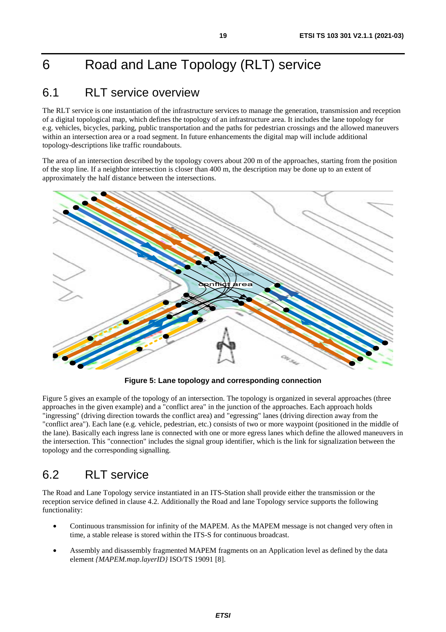# <span id="page-18-0"></span>6 Road and Lane Topology (RLT) service

# 6.1 RLT service overview

The RLT service is one instantiation of the infrastructure services to manage the generation, transmission and reception of a digital topological map, which defines the topology of an infrastructure area. It includes the lane topology for e.g. vehicles, bicycles, parking, public transportation and the paths for pedestrian crossings and the allowed maneuvers within an intersection area or a road segment. In future enhancements the digital map will include additional topology-descriptions like traffic roundabouts.

The area of an intersection described by the topology covers about 200 m of the approaches, starting from the position of the stop line. If a neighbor intersection is closer than 400 m, the description may be done up to an extent of approximately the half distance between the intersections.



**Figure 5: Lane topology and corresponding connection** 

Figure 5 gives an example of the topology of an intersection. The topology is organized in several approaches (three approaches in the given example) and a "conflict area" in the junction of the approaches. Each approach holds "ingressing" (driving direction towards the conflict area) and "egressing" lanes (driving direction away from the "conflict area"). Each lane (e.g. vehicle, pedestrian, etc.) consists of two or more waypoint (positioned in the middle of the lane). Basically each ingress lane is connected with one or more egress lanes which define the allowed maneuvers in the intersection. This "connection" includes the signal group identifier, which is the link for signalization between the topology and the corresponding signalling.

# 6.2 RLT service

The Road and Lane Topology service instantiated in an ITS-Station shall provide either the transmission or the reception service defined in clause [4.2](#page-9-0). Additionally the Road and lane Topology service supports the following functionality:

- Continuous transmission for infinity of the MAPEM. As the MAPEM message is not changed very often in time, a stable release is stored within the ITS-S for continuous broadcast.
- Assembly and disassembly fragmented MAPEM fragments on an Application level as defined by the data element *{MAPEM.map.layerID}* ISO/TS 19091 [\[8](#page-5-0)].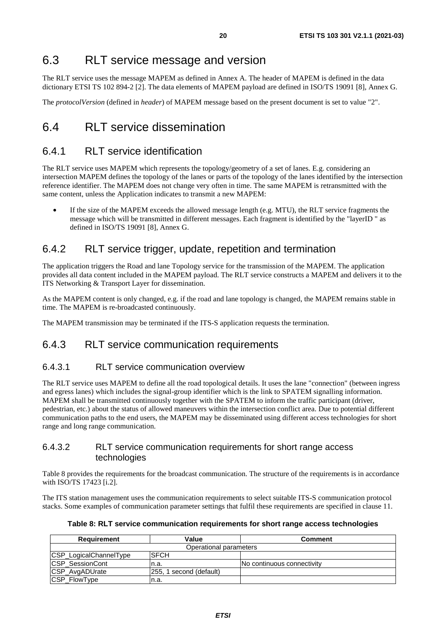# <span id="page-19-0"></span>6.3 RLT service message and version

The RLT service uses the message MAPEM as defined in [Annex A](#page-39-0). The header of MAPEM is defined in the data dictionary ETSI TS 102 894-2 [\[2](#page-5-0)]. The data elements of MAPEM payload are defined in ISO/TS 19091 [\[8](#page-5-0)], Annex G.

The *protocolVersion* (defined in *header*) of MAPEM message based on the present document is set to value "2".

# 6.4 RLT service dissemination

### 6.4.1 RLT service identification

The RLT service uses MAPEM which represents the topology/geometry of a set of lanes. E.g. considering an intersection MAPEM defines the topology of the lanes or parts of the topology of the lanes identified by the intersection reference identifier. The MAPEM does not change very often in time. The same MAPEM is retransmitted with the same content, unless the Application indicates to transmit a new MAPEM:

If the size of the MAPEM exceeds the allowed message length (e.g.  $MTU$ ), the RLT service fragments the message which will be transmitted in different messages. Each fragment is identified by the "layerID " as defined in ISO/TS 19091 [\[8](#page-5-0)], Annex G.

### 6.4.2 RLT service trigger, update, repetition and termination

The application triggers the Road and lane Topology service for the transmission of the MAPEM. The application provides all data content included in the MAPEM payload. The RLT service constructs a MAPEM and delivers it to the ITS Networking & Transport Layer for dissemination.

As the MAPEM content is only changed, e.g. if the road and lane topology is changed, the MAPEM remains stable in time. The MAPEM is re-broadcasted continuously.

The MAPEM transmission may be terminated if the ITS-S application requests the termination.

### 6.4.3 RLT service communication requirements

#### 6.4.3.1 RLT service communication overview

The RLT service uses MAPEM to define all the road topological details. It uses the lane "connection" (between ingress and egress lanes) which includes the signal-group identifier which is the link to SPATEM signalling information. MAPEM shall be transmitted continuously together with the SPATEM to inform the traffic participant (driver, pedestrian, etc.) about the status of allowed maneuvers within the intersection conflict area. Due to potential different communication paths to the end users, the MAPEM may be disseminated using different access technologies for short range and long range communication.

#### 6.4.3.2 RLT service communication requirements for short range access technologies

Table 8 provides the requirements for the broadcast communication. The structure of the requirements is in accordance with ISO/TS 17423 [\[i.2](#page-6-0)].

The ITS station management uses the communication requirements to select suitable ITS-S communication protocol stacks. Some examples of communication parameter settings that fulfil these requirements are specified in clause [11](#page-35-0).

**Table 8: RLT service communication requirements for short range access technologies** 

| Requirement            | Value                   | <b>Comment</b>             |
|------------------------|-------------------------|----------------------------|
|                        | Operational parameters  |                            |
| CSP_LogicalChannelType | <b>ISFCH</b>            |                            |
| <b>CSP SessionCont</b> | In.a.                   | No continuous connectivity |
| CSP_AvgADUrate         | 255, 1 second (default) |                            |
| CSP_FlowType           | In.a.                   |                            |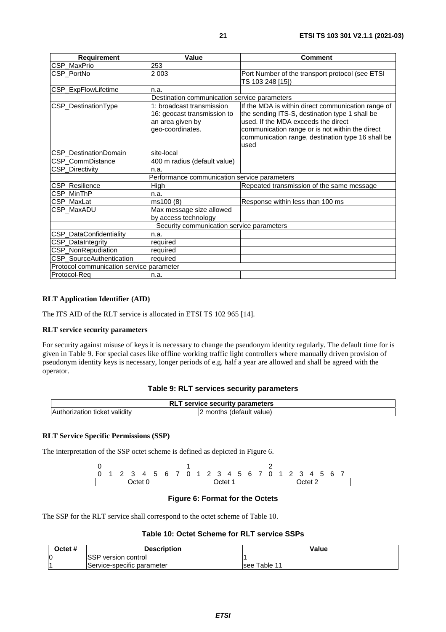<span id="page-20-0"></span>

| <b>Requirement</b>                       | Value                                                                                            | <b>Comment</b>                                                                                                                                                                                                                                              |
|------------------------------------------|--------------------------------------------------------------------------------------------------|-------------------------------------------------------------------------------------------------------------------------------------------------------------------------------------------------------------------------------------------------------------|
| CSP_MaxPrio                              | 253                                                                                              |                                                                                                                                                                                                                                                             |
| CSP_PortNo                               | 2 0 0 3                                                                                          | Port Number of the transport protocol (see ETSI)<br>TS 103 248 [15])                                                                                                                                                                                        |
| CSP_ExpFlowLifetime                      | n.a.                                                                                             |                                                                                                                                                                                                                                                             |
|                                          | Destination communication service parameters                                                     |                                                                                                                                                                                                                                                             |
| CSP_DestinationType                      | 1: broadcast transmission<br>16: geocast transmission to<br>an area given by<br>geo-coordinates. | If the MDA is within direct communication range of<br>the sending ITS-S, destination type 1 shall be<br>used. If the MDA exceeds the direct<br>communication range or is not within the direct<br>communication range, destination type 16 shall be<br>used |
| CSP DestinationDomain                    | site-local                                                                                       |                                                                                                                                                                                                                                                             |
| CSP CommDistance                         | 400 m radius (default value)                                                                     |                                                                                                                                                                                                                                                             |
| CSP_Directivity                          | n.a.                                                                                             |                                                                                                                                                                                                                                                             |
|                                          | Performance communication service parameters                                                     |                                                                                                                                                                                                                                                             |
| CSP_Resilience                           | <b>High</b>                                                                                      | Repeated transmission of the same message                                                                                                                                                                                                                   |
| CSP_MinThP                               | n.a.                                                                                             |                                                                                                                                                                                                                                                             |
| CSP MaxLat                               | ms100 (8)                                                                                        | Response within less than 100 ms                                                                                                                                                                                                                            |
| CSP MaxADU                               | Max message size allowed<br>by access technology                                                 |                                                                                                                                                                                                                                                             |
|                                          | Security communication service parameters                                                        |                                                                                                                                                                                                                                                             |
| CSP_DataConfidentiality                  | n.a.                                                                                             |                                                                                                                                                                                                                                                             |
| CSP_DataIntegrity                        | required                                                                                         |                                                                                                                                                                                                                                                             |
| CSP_NonRepudiation                       | required                                                                                         |                                                                                                                                                                                                                                                             |
| CSP_SourceAuthentication                 | required                                                                                         |                                                                                                                                                                                                                                                             |
| Protocol communication service parameter |                                                                                                  |                                                                                                                                                                                                                                                             |
| Protocol-Req                             | n.a.                                                                                             |                                                                                                                                                                                                                                                             |

#### **RLT Application Identifier (AID)**

The ITS AID of the RLT service is allocated in ETSI TS 102 965 [\[14](#page-6-0)].

#### **RLT service security parameters**

For security against misuse of keys it is necessary to change the pseudonym identity regularly. The default time for is given in Table 9. For special cases like offline working traffic light controllers where manually driven provision of pseudonym identity keys is necessary, longer periods of e.g. half a year are allowed and shall be agreed with the operator.

#### **Table 9: RLT services security parameters**

|                               | RL<br>service security parameters |  |
|-------------------------------|-----------------------------------|--|
| Authorization ticket validity | ' months (default value)          |  |

#### **RLT Service Specific Permissions (SSP)**

The interpretation of the SSP octet scheme is defined as depicted in Figure 6.

0 1 2 0 1 2 3 4 5 6 7 0 1 2 3 4 5 6 7 0 1 2 3 4 5 6 7 Octet 0 Octet 1 Octet 2

#### **Figure 6: Format for the Octets**

The SSP for the RLT service shall correspond to the octet scheme of Table 10.

#### **Table 10: Octet Scheme for RLT service SSPs**

| Octet # | <b>Description</b>            | Value           |
|---------|-------------------------------|-----------------|
| IО      | cop<br>version control<br>oor |                 |
|         | Service-specific parameter    | Table 11<br>see |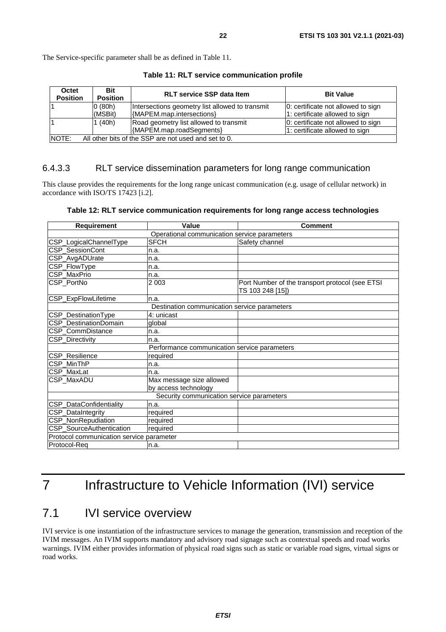<span id="page-21-0"></span>The Service-specific parameter shall be as defined in Table 11.

| Octet<br><b>Position</b>                                               | <b>Bit</b><br><b>RLT service SSP data Item</b><br><b>Bit Value</b><br><b>Position</b> |                                                 |                                    |  |  |
|------------------------------------------------------------------------|---------------------------------------------------------------------------------------|-------------------------------------------------|------------------------------------|--|--|
|                                                                        | 0(80h)                                                                                | Intersections geometry list allowed to transmit | 0: certificate not allowed to sign |  |  |
| {MAPEM.map.intersections}<br>(MSBit)<br>1: certificate allowed to sign |                                                                                       |                                                 |                                    |  |  |
|                                                                        | (40h)                                                                                 | Road geometry list allowed to transmit          | 0: certificate not allowed to sign |  |  |
|                                                                        |                                                                                       | {MAPEM.map.roadSegments}                        | 1: certificate allowed to sign     |  |  |
| NOTE:                                                                  | All other bits of the SSP are not used and set to 0.                                  |                                                 |                                    |  |  |

**Table 11: RLT service communication profile** 

#### 6.4.3.3 RLT service dissemination parameters for long range communication

This clause provides the requirements for the long range unicast communication (e.g. usage of cellular network) in accordance with ISO/TS 17423 [\[i.2](#page-6-0)].

|  |  |  | Table 12: RLT service communication requirements for long range access technologies |  |  |  |  |
|--|--|--|-------------------------------------------------------------------------------------|--|--|--|--|
|--|--|--|-------------------------------------------------------------------------------------|--|--|--|--|

| <b>Requirement</b>                        | Value                                        | <b>Comment</b>                                                      |  |  |  |
|-------------------------------------------|----------------------------------------------|---------------------------------------------------------------------|--|--|--|
|                                           | Operational communication service parameters |                                                                     |  |  |  |
| CSP_LogicalChannelType                    | <b>SFCH</b>                                  | Safety channel                                                      |  |  |  |
| CSP_SessionCont                           | n.a.                                         |                                                                     |  |  |  |
| CSP_AvgADUrate                            | n.a.                                         |                                                                     |  |  |  |
| CSP_FlowType                              | n.a.                                         |                                                                     |  |  |  |
| CSP MaxPrio                               | n.a.                                         |                                                                     |  |  |  |
| CSP_PortNo                                | 2 0 0 3                                      | Port Number of the transport protocol (see ETSI<br>TS 103 248 [15]) |  |  |  |
| CSP_ExpFlowLifetime                       | n.a.                                         |                                                                     |  |  |  |
|                                           | Destination communication service parameters |                                                                     |  |  |  |
| CSP_DestinationType                       | 4: unicast                                   |                                                                     |  |  |  |
| CSP DestinationDomain                     | global                                       |                                                                     |  |  |  |
| CSP CommDistance                          | n.a.                                         |                                                                     |  |  |  |
| CSP_Directivity                           | n.a.                                         |                                                                     |  |  |  |
|                                           | Performance communication service parameters |                                                                     |  |  |  |
| CSP_Resilience                            | required                                     |                                                                     |  |  |  |
| CSP_MinThP                                | n.a.                                         |                                                                     |  |  |  |
| CSP_MaxLat                                | n.a.                                         |                                                                     |  |  |  |
| CSP_MaxADU                                | Max message size allowed                     |                                                                     |  |  |  |
|                                           | by access technology                         |                                                                     |  |  |  |
| Security communication service parameters |                                              |                                                                     |  |  |  |
| CSP_DataConfidentiality                   | n.a.                                         |                                                                     |  |  |  |
| CSP_DataIntegrity                         | required                                     |                                                                     |  |  |  |
| <b>CSP_NonRepudiation</b>                 | required                                     |                                                                     |  |  |  |
| CSP_SourceAuthentication                  | required                                     |                                                                     |  |  |  |
| Protocol communication service parameter  |                                              |                                                                     |  |  |  |
| Protocol-Req                              | n.a.                                         |                                                                     |  |  |  |

# 7 Infrastructure to Vehicle Information (IVI) service

# 7.1 IVI service overview

IVI service is one instantiation of the infrastructure services to manage the generation, transmission and reception of the IVIM messages. An IVIM supports mandatory and advisory road signage such as contextual speeds and road works warnings. IVIM either provides information of physical road signs such as static or variable road signs, virtual signs or road works.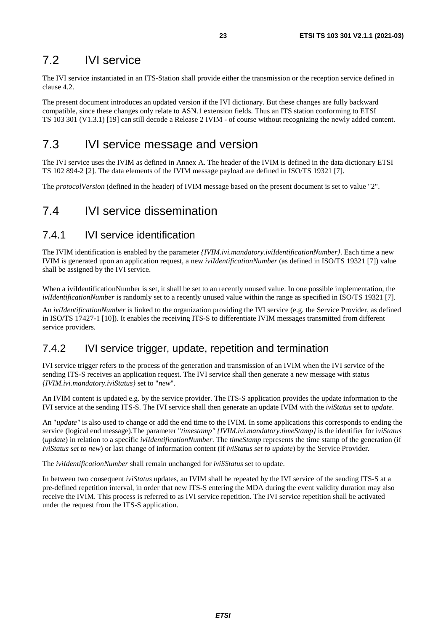## <span id="page-22-0"></span>7.2 IVI service

The IVI service instantiated in an ITS-Station shall provide either the transmission or the reception service defined in clause [4.2](#page-9-0).

The present document introduces an updated version if the IVI dictionary. But these changes are fully backward compatible, since these changes only relate to ASN.1 extension fields. Thus an ITS station conforming to ETSI TS 103 301 (V1.3.1) [\[19](#page-6-0)] can still decode a Release 2 IVIM - of course without recognizing the newly added content.

# 7.3 IVI service message and version

The IVI service uses the IVIM as defined in [Annex A](#page-39-0). The header of the IVIM is defined in the data dictionary ETSI TS 102 894-2 [\[2](#page-5-0)]. The data elements of the IVIM message payload are defined in ISO/TS 19321 [\[7](#page-5-0)].

The *protocolVersion* (defined in the header) of IVIM message based on the present document is set to value "2".

# 7.4 IVI service dissemination

### 7.4.1 IVI service identification

The IVIM identification is enabled by the parameter *{IVIM.ivi.mandatory.iviIdentificationNumber}*. Each time a new IVIM is generated upon an application request, a new *iviIdentificationNumber* (as defined in ISO/TS 19321 [\[7](#page-5-0)]) value shall be assigned by the IVI service.

When a iviIdentificationNumber is set, it shall be set to an recently unused value. In one possible implementation, the *iviIdentificationNumber* is randomly set to a recently unused value within the range as specified in ISO/TS 19321 [\[7](#page-5-0)].

An *iviIdentificationNumber* is linked to the organization providing the IVI service (e.g. the Service Provider, as defined in ISO/TS 17427-1 [\[10](#page-5-0)]). It enables the receiving ITS-S to differentiate IVIM messages transmitted from different service providers.

### 7.4.2 IVI service trigger, update, repetition and termination

IVI service trigger refers to the process of the generation and transmission of an IVIM when the IVI service of the sending ITS-S receives an application request. The IVI service shall then generate a new message with status *{IVIM.ivi.mandatory.iviStatus}* set to "*new*".

An IVIM content is updated e.g. by the service provider. The ITS-S application provides the update information to the IVI service at the sending ITS-S. The IVI service shall then generate an update IVIM with the *iviStatus* set to *update*.

An "*update"* is also used to change or add the end time to the IVIM. In some applications this corresponds to ending the service (logical end message).The parameter "*timestamp" {IVIM.ivi.mandatory.timeStamp}* is the identifier for i*viStatus* (*update*) in relation to a specific *iviIdentificationNumber*. The *timeStamp* represents the time stamp of the generation (if *IviStatus set to new*) or last change of information content (if *iviStatus set to update*) by the Service Provider.

The *iviIdentificationNumber* shall remain unchanged for *iviSStatus* set to update.

In between two consequent *iviStatus* updates, an IVIM shall be repeated by the IVI service of the sending ITS-S at a pre-defined repetition interval, in order that new ITS-S entering the MDA during the event validity duration may also receive the IVIM. This process is referred to as IVI service repetition. The IVI service repetition shall be activated under the request from the ITS-S application.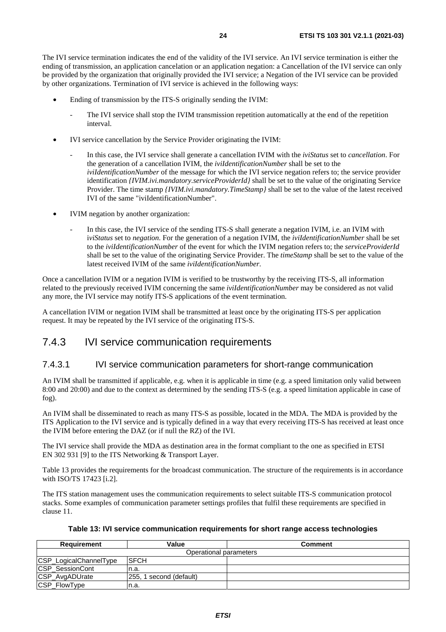<span id="page-23-0"></span>The IVI service termination indicates the end of the validity of the IVI service. An IVI service termination is either the ending of transmission, an application cancelation or an application negation: a Cancellation of the IVI service can only be provided by the organization that originally provided the IVI service; a Negation of the IVI service can be provided by other organizations. Termination of IVI service is achieved in the following ways:

- Ending of transmission by the ITS-S originally sending the IVIM:
	- The IVI service shall stop the IVIM transmission repetition automatically at the end of the repetition interval.
- IVI service cancellation by the Service Provider originating the IVIM:
	- In this case, the IVI service shall generate a cancellation IVIM with the *iviStatus* set to *cancellation*. For the generation of a cancellation IVIM, the *iviIdentificationNumber* shall be set to the *iviIdentificationNumber* of the message for which the IVI service negation refers to; the service provider identification *{IVIM.ivi.mandatory.serviceProviderId}* shall be set to the value of the originating Service Provider. The time stamp *{IVIM.ivi.mandatory.TimeStamp}* shall be set to the value of the latest received IVI of the same "iviIdentificationNumber".
- IVIM negation by another organization:
	- In this case, the IVI service of the sending ITS-S shall generate a negation IVIM, i.e. an IVIM with i*viStatus* set to *negation*. For the generation of a negation IVIM, the *iviIdentificationNumber* shall be set to the *iviIdentificationNumber* of the event for which the IVIM negation refers to; the *serviceProviderId* shall be set to the value of the originating Service Provider. The *timeStamp* shall be set to the value of the latest received IVIM of the same *iviIdentificationNumber*.

Once a cancellation IVIM or a negation IVIM is verified to be trustworthy by the receiving ITS-S, all information related to the previously received IVIM concerning the same *iviIdentificationNumber* may be considered as not valid any more, the IVI service may notify ITS-S applications of the event termination.

A cancellation IVIM or negation IVIM shall be transmitted at least once by the originating ITS-S per application request. It may be repeated by the IVI service of the originating ITS-S.

### 7.4.3 IVI service communication requirements

#### 7.4.3.1 IVI service communication parameters for short-range communication

An IVIM shall be transmitted if applicable, e.g. when it is applicable in time (e.g. a speed limitation only valid between 8:00 and 20:00) and due to the context as determined by the sending ITS-S (e.g. a speed limitation applicable in case of fog).

An IVIM shall be disseminated to reach as many ITS-S as possible, located in the MDA. The MDA is provided by the ITS Application to the IVI service and is typically defined in a way that every receiving ITS-S has received at least once the IVIM before entering the DAZ (or if null the RZ) of the IVI.

The IVI service shall provide the MDA as destination area in the format compliant to the one as specified in ETSI EN 302 931 [\[9](#page-5-0)] to the ITS Networking & Transport Layer.

Table 13 provides the requirements for the broadcast communication. The structure of the requirements is in accordance with ISO/TS 17423 [\[i.2](#page-6-0)].

The ITS station management uses the communication requirements to select suitable ITS-S communication protocol stacks. Some examples of communication parameter settings profiles that fulfil these requirements are specified in clause [11](#page-35-0).

| Table 13: IVI service communication requirements for short range access technologies |  |  |  |  |  |  |  |  |
|--------------------------------------------------------------------------------------|--|--|--|--|--|--|--|--|
|--------------------------------------------------------------------------------------|--|--|--|--|--|--|--|--|

| Requirement            | Value                   | Comment |
|------------------------|-------------------------|---------|
|                        | Operational parameters  |         |
| CSP_LogicalChannelType | <b>ISFCH</b>            |         |
| <b>CSP SessionCont</b> | In.a                    |         |
| CSP_AvgADUrate         | 255, 1 second (default) |         |
| CSP_FlowType           | n.a.                    |         |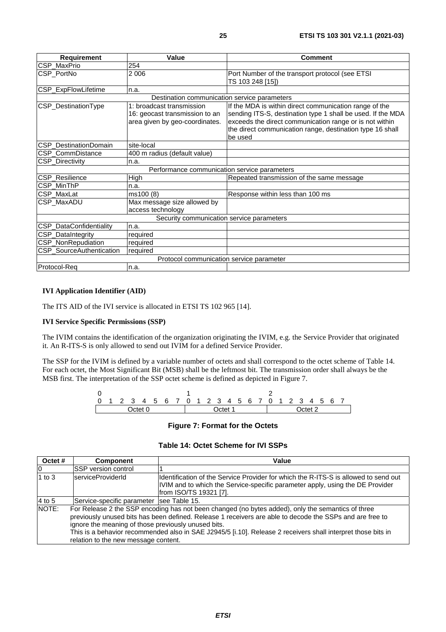| Requirement                                  | Value                                                                                         | <b>Comment</b>                                                                                                                                                                                                                                           |  |  |  |
|----------------------------------------------|-----------------------------------------------------------------------------------------------|----------------------------------------------------------------------------------------------------------------------------------------------------------------------------------------------------------------------------------------------------------|--|--|--|
| CSP_MaxPrio                                  | 254                                                                                           |                                                                                                                                                                                                                                                          |  |  |  |
| CSP PortNo                                   | 2006                                                                                          | Port Number of the transport protocol (see ETSI)<br>TS 103 248 [15])                                                                                                                                                                                     |  |  |  |
| CSP_ExpFlowLifetime                          | n.a.                                                                                          |                                                                                                                                                                                                                                                          |  |  |  |
|                                              | Destination communication service parameters                                                  |                                                                                                                                                                                                                                                          |  |  |  |
| CSP_DestinationType                          | 1: broadcast transmission<br>16: geocast transmission to an<br>area given by geo-coordinates. | If the MDA is within direct communication range of the<br>sending ITS-S, destination type 1 shall be used. If the MDA<br>exceeds the direct communication range or is not within<br>the direct communication range, destination type 16 shall<br>be used |  |  |  |
| CSP_DestinationDomain                        | site-local                                                                                    |                                                                                                                                                                                                                                                          |  |  |  |
| CSP_CommDistance                             | 400 m radius (default value)                                                                  |                                                                                                                                                                                                                                                          |  |  |  |
| CSP_Directivity                              | n.a.                                                                                          |                                                                                                                                                                                                                                                          |  |  |  |
| Performance communication service parameters |                                                                                               |                                                                                                                                                                                                                                                          |  |  |  |
| CSP_Resilience                               | High                                                                                          | Repeated transmission of the same message                                                                                                                                                                                                                |  |  |  |
| CSP_MinThP                                   | n.a.                                                                                          |                                                                                                                                                                                                                                                          |  |  |  |
| CSP MaxLat                                   | ms100 (8)                                                                                     | Response within less than 100 ms                                                                                                                                                                                                                         |  |  |  |
| CSP MaxADU                                   | Max message size allowed by<br>access technology                                              |                                                                                                                                                                                                                                                          |  |  |  |
| Security communication service parameters    |                                                                                               |                                                                                                                                                                                                                                                          |  |  |  |
| CSP_DataConfidentiality                      | n.a.                                                                                          |                                                                                                                                                                                                                                                          |  |  |  |
| CSP_DataIntegrity                            | required                                                                                      |                                                                                                                                                                                                                                                          |  |  |  |
| CSP_NonRepudiation                           | required                                                                                      |                                                                                                                                                                                                                                                          |  |  |  |
| CSP_SourceAuthentication                     | required                                                                                      |                                                                                                                                                                                                                                                          |  |  |  |
|                                              | Protocol communication service parameter                                                      |                                                                                                                                                                                                                                                          |  |  |  |
| Protocol-Req                                 | n.a.                                                                                          |                                                                                                                                                                                                                                                          |  |  |  |

#### **IVI Application Identifier (AID)**

The ITS AID of the IVI service is allocated in ETSI TS 102 965 [\[14](#page-6-0)].

#### **IVI Service Specific Permissions (SSP)**

The IVIM contains the identification of the organization originating the IVIM, e.g. the Service Provider that originated it. An R-ITS-S is only allowed to send out IVIM for a defined Service Provider.

The SSP for the IVIM is defined by a variable number of octets and shall correspond to the octet scheme of Table 14. For each octet, the Most Significant Bit (MSB) shall be the leftmost bit. The transmission order shall always be the MSB first. The interpretation of the SSP octet scheme is defined as depicted in Figure 7.



#### **Figure 7: Format for the Octets**

#### **Table 14: Octet Scheme for IVI SSPs**

| Octet #  | <b>Component</b>                                                                                                                                                                                                                                                                                                                                                                                                             | Value                                                                                                                                                                                            |  |  |  |
|----------|------------------------------------------------------------------------------------------------------------------------------------------------------------------------------------------------------------------------------------------------------------------------------------------------------------------------------------------------------------------------------------------------------------------------------|--------------------------------------------------------------------------------------------------------------------------------------------------------------------------------------------------|--|--|--|
| 10       | <b>ISSP version control</b>                                                                                                                                                                                                                                                                                                                                                                                                  |                                                                                                                                                                                                  |  |  |  |
| 1 to $3$ | IserviceProviderId                                                                                                                                                                                                                                                                                                                                                                                                           | Ildentification of the Service Provider for which the R-ITS-S is allowed to send out<br>IVIM and to which the Service-specific parameter apply, using the DE Provider<br> from ISO/TS 19321 [7]. |  |  |  |
| 4 to 5   | Service-specific parameter   see Table 15.                                                                                                                                                                                                                                                                                                                                                                                   |                                                                                                                                                                                                  |  |  |  |
| NOTE:    | For Release 2 the SSP encoding has not been changed (no bytes added), only the semantics of three<br>previously unused bits has been defined. Release 1 receivers are able to decode the SSPs and are free to<br>ignore the meaning of those previously unused bits.<br>This is a behavior recommended also in SAE J2945/5 [i.10]. Release 2 receivers shall interpret those bits in<br>relation to the new message content. |                                                                                                                                                                                                  |  |  |  |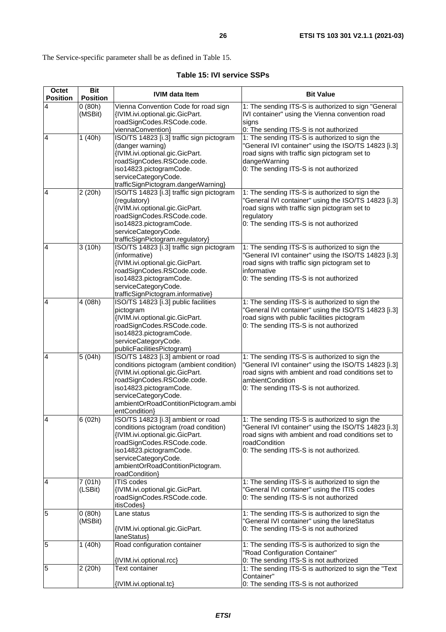<span id="page-25-0"></span>The Service-specific parameter shall be as defined in Table 15.

#### **Table 15: IVI service SSPs**

| <b>Octet</b><br><b>Position</b> | <b>Bit</b><br><b>Position</b> | <b>IVIM data Item</b>                                                                                                                                                                                                                                       | <b>Bit Value</b>                                                                                                                                                                                                                                             |  |  |  |  |
|---------------------------------|-------------------------------|-------------------------------------------------------------------------------------------------------------------------------------------------------------------------------------------------------------------------------------------------------------|--------------------------------------------------------------------------------------------------------------------------------------------------------------------------------------------------------------------------------------------------------------|--|--|--|--|
| 4                               | 0(80h)<br>(MSBit)             | Vienna Convention Code for road sign<br>{IVIM.ivi.optional.gic.GicPart.<br>roadSignCodes.RSCode.code.                                                                                                                                                       | 1: The sending ITS-S is authorized to sign "General<br>IVI container" using the Vienna convention road<br>signs                                                                                                                                              |  |  |  |  |
| $\overline{4}$                  | 1(40h)                        | viennaConvention}<br>ISO/TS 14823 [i.3] traffic sign pictogram<br>(danger warning)<br>{IVIM.ivi.optional.gic.GicPart.<br>roadSignCodes.RSCode.code.<br>iso14823.pictogramCode.<br>serviceCategoryCode.<br>trafficSignPictogram.dangerWarning}               | 0: The sending ITS-S is not authorized<br>1: The sending ITS-S is authorized to sign the<br>"General IVI container" using the ISO/TS 14823 [i.3]<br>road signs with traffic sign pictogram set to<br>dangerWarning<br>0: The sending ITS-S is not authorized |  |  |  |  |
| 4                               | 2(20h)                        | ISO/TS 14823 [i.3] traffic sign pictogram<br>(regulatory)<br>{IVIM.ivi.optional.gic.GicPart.<br>roadSignCodes.RSCode.code.<br>iso14823.pictogramCode.<br>serviceCategoryCode.<br>trafficSignPictogram.regulatory}                                           | 1: The sending ITS-S is authorized to sign the<br>"General IVI container" using the ISO/TS 14823 [i.3]<br>road signs with traffic sign pictogram set to<br>regulatory<br>0: The sending ITS-S is not authorized                                              |  |  |  |  |
| $\overline{4}$                  | 3(10h)                        | ISO/TS 14823 [i.3] traffic sign pictogram<br>(informative)<br>{IVIM.ivi.optional.gic.GicPart.<br>roadSignCodes.RSCode.code.<br>iso14823.pictogramCode.<br>serviceCategoryCode.<br>trafficSignPictogram.informative}                                         | 1: The sending ITS-S is authorized to sign the<br>"General IVI container" using the ISO/TS 14823 [i.3]<br>road signs with traffic sign pictogram set to<br>informative<br>0: The sending ITS-S is not authorized                                             |  |  |  |  |
| $\overline{4}$                  | 4 (08h)                       | ISO/TS 14823 [i.3] public facilities<br>pictogram<br>{IVIM.ivi.optional.gic.GicPart.<br>roadSignCodes.RSCode.code.<br>iso14823.pictogramCode.<br>serviceCategoryCode.<br>publicFacilitiesPictogram}                                                         | 1: The sending ITS-S is authorized to sign the<br>"General IVI container" using the ISO/TS 14823 [i.3]<br>road signs with public facilities pictogram<br>0: The sending ITS-S is not authorized                                                              |  |  |  |  |
| $\overline{4}$                  | 5(04h)                        | ISO/TS 14823 [i.3] ambient or road<br>conditions pictogram (ambient condition)<br>{IVIM.ivi.optional.gic.GicPart.<br>roadSignCodes.RSCode.code.<br>iso14823.pictogramCode.<br>serviceCategoryCode.<br>ambientOrRoadContitionPictogram.ambi<br>entCondition} | 1: The sending ITS-S is authorized to sign the<br>"General IVI container" using the ISO/TS 14823 [i.3]<br>road signs with ambient and road conditions set to<br>ambientCondition<br>0: The sending ITS-S is not authorized.                                  |  |  |  |  |
| $\overline{4}$                  | 6(02h)                        | ISO/TS 14823 [i.3] ambient or road<br>conditions pictogram (road condition)<br>{IVIM.ivi.optional.gic.GicPart.<br>roadSignCodes.RSCode.code.<br>iso14823.pictogramCode.<br>serviceCategoryCode.<br>ambientOrRoadContitionPictogram.<br>roadCondition}       | 1: The sending ITS-S is authorized to sign the<br>'General IVI container" using the ISO/TS 14823 [i.3]<br>road signs with ambient and road conditions set to<br>roadCondition<br>0: The sending ITS-S is not authorized.                                     |  |  |  |  |
| $\overline{4}$                  | 7(01h)<br>(LSBit)             | <b>ITIS</b> codes<br>{IVIM.ivi.optional.gic.GicPart.<br>roadSignCodes.RSCode.code.<br>itisCodes}                                                                                                                                                            | 1: The sending ITS-S is authorized to sign the<br>"General IVI container" using the ITIS codes<br>0: The sending ITS-S is not authorized                                                                                                                     |  |  |  |  |
| 5                               | 0(80h)<br>(MSBit)             | Lane status<br>{IVIM.ivi.optional.gic.GicPart.<br>laneStatus}                                                                                                                                                                                               | 1: The sending ITS-S is authorized to sign the<br>"General IVI container" using the laneStatus<br>0: The sending ITS-S is not authorized                                                                                                                     |  |  |  |  |
| 5                               | 1(40h)                        | Road configuration container<br>{IVIM.ivi.optional.rcc}                                                                                                                                                                                                     | 1: The sending ITS-S is authorized to sign the<br>"Road Configuration Container"<br>0: The sending ITS-S is not authorized                                                                                                                                   |  |  |  |  |
| 5                               | 2 (20h)                       | Text container<br>{IVIM.ivi.optional.tc}                                                                                                                                                                                                                    | 1: The sending ITS-S is authorized to sign the "Text<br>Container"<br>0: The sending ITS-S is not authorized                                                                                                                                                 |  |  |  |  |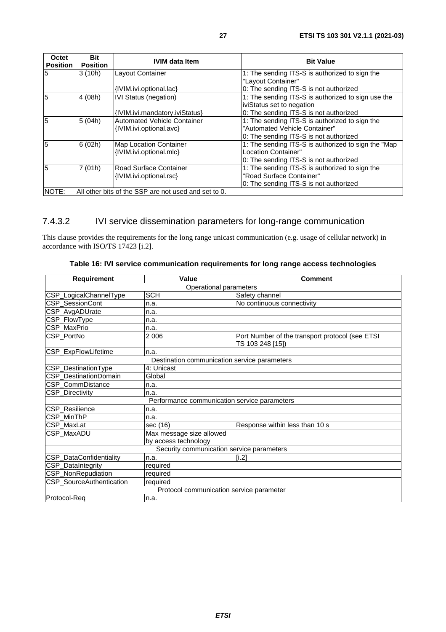<span id="page-26-0"></span>

| Octet<br><b>Position</b> | <b>Bit</b><br><b>Position</b> | <b>IVIM data Item</b>                                | <b>Bit Value</b>                                    |
|--------------------------|-------------------------------|------------------------------------------------------|-----------------------------------------------------|
| 5                        | 3(10h)                        | Layout Container                                     | 1: The sending ITS-S is authorized to sign the      |
|                          |                               |                                                      | "Layout Container"                                  |
|                          |                               | {IVIM.ivi.optional.lac}                              | 0: The sending ITS-S is not authorized              |
| 5                        | 4(08h)                        | <b>IVI Status (negation)</b>                         | 1: The sending ITS-S is authorized to sign use the  |
|                          |                               |                                                      | iviStatus set to negation                           |
|                          |                               | {IVIM.ivi.mandatory.iviStatus}                       | 0: The sending ITS-S is not authorized              |
| 5                        | 5(04h)                        | <b>Automated Vehicle Container</b>                   | 1: The sending ITS-S is authorized to sign the      |
|                          |                               | {IVIM.ivi.optional.avc}                              | "Automated Vehicle Container"                       |
|                          |                               |                                                      | 0: The sending ITS-S is not authorized              |
| 5                        | 6(02h)                        | <b>Map Location Container</b>                        | 1: The sending ITS-S is authorized to sign the "Map |
|                          |                               | {IVIM.ivi.optional.mlc}                              | Location Container"                                 |
|                          |                               |                                                      | 0: The sending ITS-S is not authorized              |
| 5                        | 7(01h)                        | Road Surface Container                               | 1: The sending ITS-S is authorized to sign the      |
|                          |                               | {IVIM.ivi.optional.rsc}                              | "Road Surface Container"                            |
|                          |                               |                                                      | 0: The sending ITS-S is not authorized              |
| NOTE:                    |                               | All other bits of the SSP are not used and set to 0. |                                                     |

### 7.4.3.2 IVI service dissemination parameters for long-range communication

This clause provides the requirements for the long range unicast communication (e.g. usage of cellular network) in accordance with ISO/TS 17423 [\[i.2](#page-6-0)].

| Requirement                                  | Value                                        | <b>Comment</b>                                                      |  |  |  |  |  |  |
|----------------------------------------------|----------------------------------------------|---------------------------------------------------------------------|--|--|--|--|--|--|
| Operational parameters                       |                                              |                                                                     |  |  |  |  |  |  |
| CSP_LogicalChannelType                       | <b>SCH</b>                                   | Safety channel                                                      |  |  |  |  |  |  |
| <b>CSP SessionCont</b>                       | n.a.                                         | No continuous connectivity                                          |  |  |  |  |  |  |
| CSP_AvgADUrate                               | n.a.                                         |                                                                     |  |  |  |  |  |  |
| CSP_FlowType                                 | n.a.                                         |                                                                     |  |  |  |  |  |  |
| CSP_MaxPrio                                  | n.a.                                         |                                                                     |  |  |  |  |  |  |
| CSP_PortNo                                   | 2 0 0 6                                      | Port Number of the transport protocol (see ETSI<br>TS 103 248 [15]) |  |  |  |  |  |  |
| CSP_ExpFlowLifetime                          | n.a.                                         |                                                                     |  |  |  |  |  |  |
| Destination communication service parameters |                                              |                                                                     |  |  |  |  |  |  |
| CSP_DestinationType                          | 4: Unicast                                   |                                                                     |  |  |  |  |  |  |
| CSP DestinationDomain                        | Global                                       |                                                                     |  |  |  |  |  |  |
| CSP_CommDistance                             | n.a.                                         |                                                                     |  |  |  |  |  |  |
| <b>CSP Directivity</b>                       | n.a.                                         |                                                                     |  |  |  |  |  |  |
|                                              | Performance communication service parameters |                                                                     |  |  |  |  |  |  |
| <b>CSP_Resilience</b>                        | n.a.                                         |                                                                     |  |  |  |  |  |  |
| CSP MinThP                                   | n.a.                                         |                                                                     |  |  |  |  |  |  |
| CSP_MaxLat                                   | sec (16)                                     | Response within less than 10 s                                      |  |  |  |  |  |  |
| <b>CSP MaxADU</b>                            | Max message size allowed                     |                                                                     |  |  |  |  |  |  |
|                                              | by access technology                         |                                                                     |  |  |  |  |  |  |
|                                              | Security communication service parameters    |                                                                     |  |  |  |  |  |  |
| CSP_DataConfidentiality                      | In.a.                                        | [i.2]                                                               |  |  |  |  |  |  |
| CSP_DataIntegrity                            | required                                     |                                                                     |  |  |  |  |  |  |
| CSP_NonRepudiation                           | required                                     |                                                                     |  |  |  |  |  |  |
| CSP_SourceAuthentication                     | required                                     |                                                                     |  |  |  |  |  |  |
|                                              | Protocol communication service parameter     |                                                                     |  |  |  |  |  |  |
| Protocol-Reg                                 | n.a.                                         |                                                                     |  |  |  |  |  |  |

#### **Table 16: IVI service communication requirements for long range access technologies**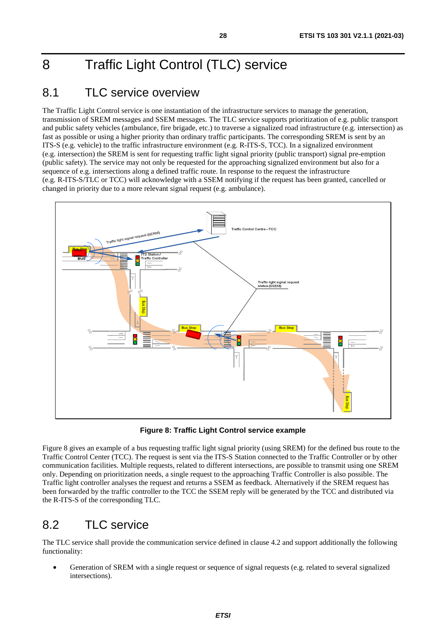# <span id="page-27-0"></span>8 Traffic Light Control (TLC) service

# 8.1 TLC service overview

The Traffic Light Control service is one instantiation of the infrastructure services to manage the generation, transmission of SREM messages and SSEM messages. The TLC service supports prioritization of e.g. public transport and public safety vehicles (ambulance, fire brigade, etc.) to traverse a signalized road infrastructure (e.g. intersection) as fast as possible or using a higher priority than ordinary traffic participants. The corresponding SREM is sent by an ITS-S (e.g. vehicle) to the traffic infrastructure environment (e.g. R-ITS-S, TCC). In a signalized environment (e.g. intersection) the SREM is sent for requesting traffic light signal priority (public transport) signal pre-emption (public safety). The service may not only be requested for the approaching signalized environment but also for a sequence of e.g. intersections along a defined traffic route. In response to the request the infrastructure (e.g. R-ITS-S/TLC or TCC) will acknowledge with a SSEM notifying if the request has been granted, cancelled or changed in priority due to a more relevant signal request (e.g. ambulance).



**Figure 8: Traffic Light Control service example** 

Figure 8 gives an example of a bus requesting traffic light signal priority (using SREM) for the defined bus route to the Traffic Control Center (TCC). The request is sent via the ITS-S Station connected to the Traffic Controller or by other communication facilities. Multiple requests, related to different intersections, are possible to transmit using one SREM only. Depending on prioritization needs, a single request to the approaching Traffic Controller is also possible. The Traffic light controller analyses the request and returns a SSEM as feedback. Alternatively if the SREM request has been forwarded by the traffic controller to the TCC the SSEM reply will be generated by the TCC and distributed via the R-ITS-S of the corresponding TLC.

# 8.2 TLC service

The TLC service shall provide the communication service defined in clause [4.2](#page-9-0) and support additionally the following functionality:

• Generation of SREM with a single request or sequence of signal requests (e.g. related to several signalized intersections).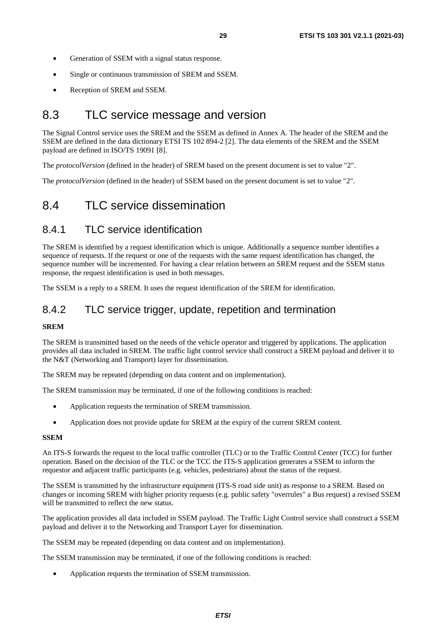- <span id="page-28-0"></span>Generation of SSEM with a signal status response.
- Single or continuous transmission of SREM and SSEM.
- Reception of SREM and SSEM.

## 8.3 TLC service message and version

The Signal Control service uses the SREM and the SSEM as defined in [Annex A](#page-39-0). The header of the SREM and the SSEM are defined in the data dictionary ETSI TS 102 894-2 [\[2](#page-5-0)]. The data elements of the SREM and the SSEM payload are defined in ISO/TS 19091 [\[8](#page-5-0)].

The *protocolVersion* (defined in the header) of SREM based on the present document is set to value "2".

The *protocolVersion* (defined in the header) of SSEM based on the present document is set to value "2".

## 8.4 TLC service dissemination

### 8.4.1 TLC service identification

The SREM is identified by a request identification which is unique. Additionally a sequence number identifies a sequence of requests. If the request or one of the requests with the same request identification has changed, the sequence number will be incremented. For having a clear relation between an SREM request and the SSEM status response, the request identification is used in both messages.

The SSEM is a reply to a SREM. It uses the request identification of the SREM for identification.

### 8.4.2 TLC service trigger, update, repetition and termination

#### **SREM**

The SREM is transmitted based on the needs of the vehicle operator and triggered by applications. The application provides all data included in SREM. The traffic light control service shall construct a SREM payload and deliver it to the N&T (Networking and Transport) layer for dissemination.

The SREM may be repeated (depending on data content and on implementation).

The SREM transmission may be terminated, if one of the following conditions is reached:

- Application requests the termination of SREM transmission.
- Application does not provide update for SREM at the expiry of the current SREM content.

#### **SSEM**

An ITS-S forwards the request to the local traffic controller (TLC) or to the Traffic Control Center (TCC) for further operation. Based on the decision of the TLC or the TCC the ITS-S application generates a SSEM to inform the requestor and adjacent traffic participants (e.g. vehicles, pedestrians) about the status of the request.

The SSEM is transmitted by the infrastructure equipment (ITS-S road side unit) as response to a SREM. Based on changes or incoming SREM with higher priority requests (e.g. public safety "overrules" a Bus request) a revised SSEM will be transmitted to reflect the new status.

The application provides all data included in SSEM payload. The Traffic Light Control service shall construct a SSEM payload and deliver it to the Networking and Transport Layer for dissemination.

The SSEM may be repeated (depending on data content and on implementation).

The SSEM transmission may be terminated, if one of the following conditions is reached:

• Application requests the termination of SSEM transmission.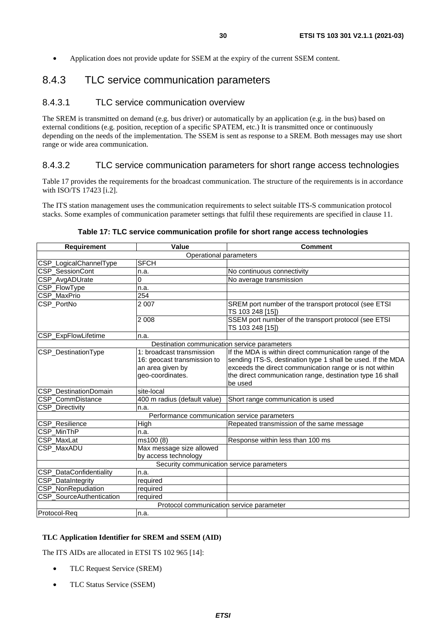<span id="page-29-0"></span>• Application does not provide update for SSEM at the expiry of the current SSEM content.

### 8.4.3 TLC service communication parameters

#### 8.4.3.1 TLC service communication overview

The SREM is transmitted on demand (e.g. bus driver) or automatically by an application (e.g. in the bus) based on external conditions (e.g. position, reception of a specific SPATEM, etc.) It is transmitted once or continuously depending on the needs of the implementation. The SSEM is sent as response to a SREM. Both messages may use short range or wide area communication.

#### 8.4.3.2 TLC service communication parameters for short range access technologies

Table 17 provides the requirements for the broadcast communication. The structure of the requirements is in accordance with ISO/TS 17423 [\[i.2](#page-6-0)].

The ITS station management uses the communication requirements to select suitable ITS-S communication protocol stacks. Some examples of communication parameter settings that fulfil these requirements are specified in clause [11](#page-35-0).

#### **Table 17: TLC service communication profile for short range access technologies**

| <b>Requirement</b>                           | Value                                        | <b>Comment</b>                                                           |  |  |  |  |  |  |  |
|----------------------------------------------|----------------------------------------------|--------------------------------------------------------------------------|--|--|--|--|--|--|--|
|                                              | Operational parameters                       |                                                                          |  |  |  |  |  |  |  |
| CSP_LogicalChannelType                       | <b>SFCH</b>                                  |                                                                          |  |  |  |  |  |  |  |
| CSP_SessionCont                              | n.a.                                         | No continuous connectivity                                               |  |  |  |  |  |  |  |
| CSP_AvgADUrate                               | 0                                            | No average transmission                                                  |  |  |  |  |  |  |  |
| CSP_FlowType                                 | n.a.                                         |                                                                          |  |  |  |  |  |  |  |
| CSP_MaxPrio                                  | 254                                          |                                                                          |  |  |  |  |  |  |  |
| CSP PortNo                                   | 2 0 0 7                                      | SREM port number of the transport protocol (see ETSI<br>TS 103 248 [15]) |  |  |  |  |  |  |  |
|                                              | 2 0 0 8                                      | SSEM port number of the transport protocol (see ETSI<br>TS 103 248 [15]) |  |  |  |  |  |  |  |
| CSP_ExpFlowLifetime                          | n.a.                                         |                                                                          |  |  |  |  |  |  |  |
| Destination communication service parameters |                                              |                                                                          |  |  |  |  |  |  |  |
| CSP_DestinationType                          | 1: broadcast transmission                    | If the MDA is within direct communication range of the                   |  |  |  |  |  |  |  |
|                                              | 16: geocast transmission to                  | sending ITS-S, destination type 1 shall be used. If the MDA              |  |  |  |  |  |  |  |
|                                              | an area given by                             | exceeds the direct communication range or is not within                  |  |  |  |  |  |  |  |
|                                              | geo-coordinates.                             | the direct communication range, destination type 16 shall                |  |  |  |  |  |  |  |
|                                              |                                              | be used                                                                  |  |  |  |  |  |  |  |
| CSP DestinationDomain                        | site-local                                   |                                                                          |  |  |  |  |  |  |  |
| CSP_CommDistance                             | 400 m radius (default value)                 | Short range communication is used                                        |  |  |  |  |  |  |  |
| CSP_Directivity                              | n.a.                                         |                                                                          |  |  |  |  |  |  |  |
|                                              | Performance communication service parameters |                                                                          |  |  |  |  |  |  |  |
| CSP_Resilience                               | High                                         | Repeated transmission of the same message                                |  |  |  |  |  |  |  |
| CSP MinThP                                   | n.a.                                         |                                                                          |  |  |  |  |  |  |  |
| CSP_MaxLat                                   | ms100 (8)                                    | Response within less than 100 ms                                         |  |  |  |  |  |  |  |
| CSP_MaxADU                                   | Max message size allowed                     |                                                                          |  |  |  |  |  |  |  |
|                                              | by access technology                         |                                                                          |  |  |  |  |  |  |  |
|                                              | Security communication service parameters    |                                                                          |  |  |  |  |  |  |  |
| CSP_DataConfidentiality                      | n.a.                                         |                                                                          |  |  |  |  |  |  |  |
| CSP_DataIntegrity                            | required                                     |                                                                          |  |  |  |  |  |  |  |
| CSP_NonRepudiation                           | required                                     |                                                                          |  |  |  |  |  |  |  |
| CSP_SourceAuthentication                     | required                                     |                                                                          |  |  |  |  |  |  |  |
|                                              | Protocol communication service parameter     |                                                                          |  |  |  |  |  |  |  |
| Protocol-Req                                 | n.a.                                         |                                                                          |  |  |  |  |  |  |  |

#### **TLC Application Identifier for SREM and SSEM (AID)**

The ITS AIDs are allocated in ETSI TS 102 965 [\[14](#page-6-0)]:

- TLC Request Service (SREM)
- TLC Status Service (SSEM)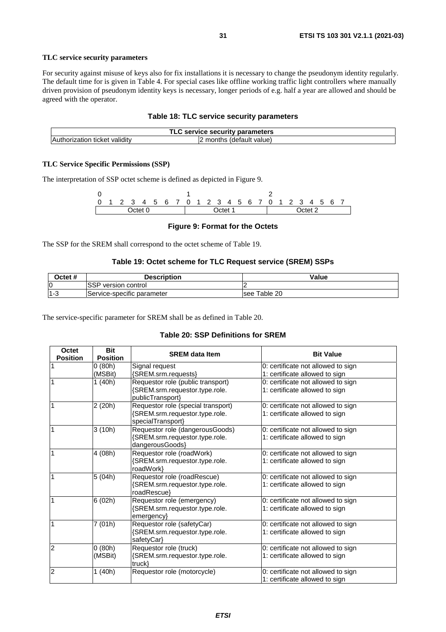#### **TLC service security parameters**

For security against misuse of keys also for fix installations it is necessary to change the pseudonym identity regularly. The default time for is given in [Table 4.](#page-16-0) For special cases like offline working traffic light controllers where manually driven provision of pseudonym identity keys is necessary, longer periods of e.g. half a year are allowed and should be agreed with the operator.

#### **Table 18: TLC service security parameters**

| service security parameters :  |                           |  |  |  |  |
|--------------------------------|---------------------------|--|--|--|--|
| ticket validitv<br>thorization | (default value)<br>months |  |  |  |  |

#### **TLC Service Specific Permissions (SSP)**

The interpretation of SSP octet scheme is defined as depicted in Figure 9.

|  |  |         |  | 0 1 2 3 4 5 6 7 0 1 2 3 4 5 6 7 0 1 2 3 4 5 6 7 |         |  |  |  |  |  |         |  |  |  |  |
|--|--|---------|--|-------------------------------------------------|---------|--|--|--|--|--|---------|--|--|--|--|
|  |  | Octet 0 |  |                                                 | Octet 1 |  |  |  |  |  | Octet 2 |  |  |  |  |

#### **Figure 9: Format for the Octets**

The SSP for the SREM shall correspond to the octet scheme of Table 19.

#### **Table 19: Octet scheme for TLC Request service (SREM) SSPs**

| Octet # | Description                      | <b>Value</b>    |
|---------|----------------------------------|-----------------|
| 0       | ICCD<br>' version control<br>πدب |                 |
| l1-3    | .<br>IService-specific parameter | Table 20<br>see |

The service-specific parameter for SREM shall be as defined in Table 20.

#### **Table 20: SSP Definitions for SREM**

| Octet<br><b>Position</b> | <b>Bit</b><br><b>Position</b> | <b>SREM data Item</b>                       | <b>Bit Value</b>                   |
|--------------------------|-------------------------------|---------------------------------------------|------------------------------------|
|                          | 0(80h)                        | Signal request                              | 0: certificate not allowed to sign |
|                          | (MSBit)                       | {SREM.srm.requests}                         | 1: certificate allowed to sign     |
| 1                        | 1 (40h)                       | Requestor role (public transport)           | 0: certificate not allowed to sign |
|                          |                               | {SREM.srm.requestor.type.role.              | 1: certificate allowed to sign     |
|                          |                               | publicTransport}                            |                                    |
| $\mathbf{1}$             | 2 (20h)                       | Requestor role (special transport)          | 0: certificate not allowed to sign |
|                          |                               | {SREM.srm.requestor.type.role.              | 1: certificate allowed to sign     |
|                          |                               | specialTransport}                           |                                    |
| 1                        | 3(10h)                        | Requestor role (dangerousGoods)             | 0: certificate not allowed to sign |
|                          |                               | {SREM.srm.requestor.type.role.              | 1: certificate allowed to sign     |
|                          |                               | dangerousGoods}                             |                                    |
| $\mathbf{1}$             | 4 (08h)                       | Requestor role (roadWork)                   | 0: certificate not allowed to sign |
|                          |                               | {SREM.srm.requestor.type.role.<br>roadWork} | 1: certificate allowed to sign     |
| 1                        | 5(04h)                        | Requestor role (roadRescue)                 | 0: certificate not allowed to sign |
|                          |                               | {SREM.srm.requestor.type.role.              | 1: certificate allowed to sign     |
|                          |                               | roadRescue}                                 |                                    |
| $\mathbf{1}$             | 6(02h)                        | Requestor role (emergency)                  | 0: certificate not allowed to sign |
|                          |                               | {SREM.srm.requestor.type.role.              | 1: certificate allowed to sign     |
|                          |                               | emergency}                                  |                                    |
| $\mathbf{1}$             | 7 (01h)                       | Requestor role (safetyCar)                  | 0: certificate not allowed to sign |
|                          |                               | {SREM.srm.requestor.type.role.              | 1: certificate allowed to sign     |
|                          |                               | safetyCar}                                  |                                    |
| $\overline{2}$           | 0(80h)                        | Requestor role (truck)                      | 0: certificate not allowed to sign |
|                          | (MSBit)                       | {SREM.srm.requestor.type.role.              | 1: certificate allowed to sign     |
|                          |                               | truck}                                      |                                    |
| $\overline{2}$           | 1 (40h)                       | Requestor role (motorcycle)                 | 0: certificate not allowed to sign |
|                          |                               |                                             | 1: certificate allowed to sign     |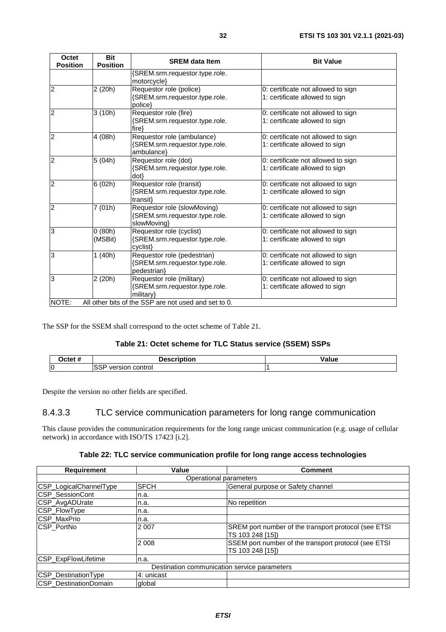<span id="page-31-0"></span>

| Octet<br><b>Position</b> | <b>Bit</b><br><b>Position</b> | <b>SREM data Item</b>                                                        | <b>Bit Value</b>                                                     |
|--------------------------|-------------------------------|------------------------------------------------------------------------------|----------------------------------------------------------------------|
|                          |                               | {SREM.srm.requestor.type.role.<br>motorcycle}                                |                                                                      |
| $\overline{c}$           | 2 (20h)                       | Requestor role (police)<br>{SREM.srm.requestor.type.role.<br>police}         | 0: certificate not allowed to sign<br>1: certificate allowed to sign |
| $\overline{2}$           | 3(10h)                        | Requestor role (fire)<br>{SREM.srm.requestor.type.role.<br>$fire\}$          | 0: certificate not allowed to sign<br>1: certificate allowed to sign |
| $\overline{2}$           | 4 (08h)                       | Requestor role (ambulance)<br>{SREM.srm.requestor.type.role.<br>ambulance}   | 0: certificate not allowed to sign<br>1: certificate allowed to sign |
| $\overline{2}$           | 5(04h)                        | Requestor role (dot)<br>{SREM.srm.requestor.type.role.<br>$dot\}$            | 0: certificate not allowed to sign<br>1: certificate allowed to sign |
| $\overline{2}$           | 6(02h)                        | Requestor role (transit)<br>{SREM.srm.requestor.type.role.<br>transit}       | 0: certificate not allowed to sign<br>1: certificate allowed to sign |
| $\overline{2}$           | 7(01h)                        | Requestor role (slowMoving)<br>{SREM.srm.requestor.type.role.<br>slowMoving} | 0: certificate not allowed to sign<br>1: certificate allowed to sign |
| 3                        | 0(80h)<br>(MSBit)             | Requestor role (cyclist)<br>{SREM.srm.requestor.type.role.<br>cyclist}       | 0: certificate not allowed to sign<br>1: certificate allowed to sign |
| 3                        | 1(40h)                        | Requestor role (pedestrian)<br>{SREM.srm.requestor.type.role.<br>pedestrian} | 0: certificate not allowed to sign<br>1: certificate allowed to sign |
| 3                        | 2(20h)                        | Requestor role (military)<br>{SREM.srm.requestor.type.role.<br>military}     | 0: certificate not allowed to sign<br>1: certificate allowed to sign |
| NOTE:                    |                               | All other bits of the SSP are not used and set to 0.                         |                                                                      |

The SSP for the SSEM shall correspond to the octet scheme of Table 21.

#### **Table 21: Octet scheme for TLC Status service (SSEM) SSPs**

| <b>Dctet</b> | <b>Description</b>       | Valu |
|--------------|--------------------------|------|
| lO           | control<br>versior<br>הר |      |

Despite the version no other fields are specified.

#### 8.4.3.3 TLC service communication parameters for long range communication

This clause provides the communication requirements for the long range unicast communication (e.g. usage of cellular network) in accordance with ISO/TS 17423 [\[i.2](#page-6-0)].

#### **Table 22: TLC service communication profile for long range access technologies**

| <b>Requirement</b>     | Value                                        | <b>Comment</b>                                                            |  |  |  |  |  |  |
|------------------------|----------------------------------------------|---------------------------------------------------------------------------|--|--|--|--|--|--|
| Operational parameters |                                              |                                                                           |  |  |  |  |  |  |
| CSP_LogicalChannelType | <b>SFCH</b>                                  | General purpose or Safety channel                                         |  |  |  |  |  |  |
| CSP_SessionCont        | n.a.                                         |                                                                           |  |  |  |  |  |  |
| CSP_AvgADUrate         | n.a.                                         | No repetition                                                             |  |  |  |  |  |  |
| CSP_FlowType           | n.a.                                         |                                                                           |  |  |  |  |  |  |
| CSP_MaxPrio            | n.a.                                         |                                                                           |  |  |  |  |  |  |
| CSP_PortNo             | 2 0 0 7                                      | SREM port number of the transport protocol (see ETSI)<br>TS 103 248 [15]) |  |  |  |  |  |  |
|                        | 2 0 0 8                                      | SSEM port number of the transport protocol (see ETSI<br>TS 103 248 [15])  |  |  |  |  |  |  |
| CSP_ExpFlowLifetime    | n.a.                                         |                                                                           |  |  |  |  |  |  |
|                        | Destination communication service parameters |                                                                           |  |  |  |  |  |  |
| CSP_DestinationType    | 4: unicast                                   |                                                                           |  |  |  |  |  |  |
| CSP_DestinationDomain  | global                                       |                                                                           |  |  |  |  |  |  |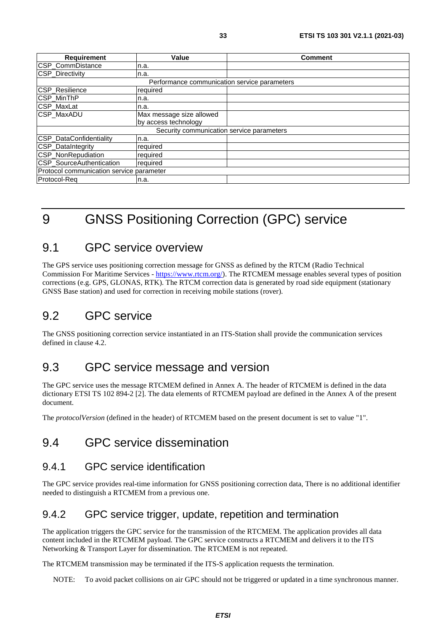<span id="page-32-0"></span>

| <b>Requirement</b>                       | Value                                        | <b>Comment</b> |
|------------------------------------------|----------------------------------------------|----------------|
| CSP_CommDistance                         | n.a.                                         |                |
| <b>CSP_Directivity</b>                   | n.a.                                         |                |
|                                          | Performance communication service parameters |                |
| CSP_Resilience                           | required                                     |                |
| CSP_MinThP                               | n.a.                                         |                |
| CSP_MaxLat                               | n.a.                                         |                |
| CSP_MaxADU                               | Max message size allowed                     |                |
|                                          | by access technology                         |                |
|                                          | Security communication service parameters    |                |
| CSP_DataConfidentiality                  | n.a.                                         |                |
| CSP_DataIntegrity                        | required                                     |                |
| CSP_NonRepudiation                       | required                                     |                |
| CSP_SourceAuthentication                 | required                                     |                |
| Protocol communication service parameter |                                              |                |
| Protocol-Reg                             | n.a.                                         |                |

# 9 GNSS Positioning Correction (GPC) service

### 9.1 GPC service overview

The GPS service uses positioning correction message for GNSS as defined by the RTCM (Radio Technical Commission For Maritime Services -<https://www.rtcm.org/>). The RTCMEM message enables several types of position corrections (e.g. GPS, GLONAS, RTK). The RTCM correction data is generated by road side equipment (stationary GNSS Base station) and used for correction in receiving mobile stations (rover).

# 9.2 GPC service

The GNSS positioning correction service instantiated in an ITS-Station shall provide the communication services defined in clause [4.2](#page-9-0).

### 9.3 GPC service message and version

The GPC service uses the message RTCMEM defined in [Annex A](#page-39-0). The header of RTCMEM is defined in the data dictionary ETSI TS 102 894-2 [\[2](#page-5-0)]. The data elements of RTCMEM payload are defined in the [Annex A](#page-39-0) of the present document.

The *protocolVersion* (defined in the header) of RTCMEM based on the present document is set to value "1".

## 9.4 GPC service dissemination

### 9.4.1 GPC service identification

The GPC service provides real-time information for GNSS positioning correction data, There is no additional identifier needed to distinguish a RTCMEM from a previous one.

### 9.4.2 GPC service trigger, update, repetition and termination

The application triggers the GPC service for the transmission of the RTCMEM. The application provides all data content included in the RTCMEM payload. The GPC service constructs a RTCMEM and delivers it to the ITS Networking & Transport Layer for dissemination. The RTCMEM is not repeated.

The RTCMEM transmission may be terminated if the ITS-S application requests the termination.

NOTE: To avoid packet collisions on air GPC should not be triggered or updated in a time synchronous manner.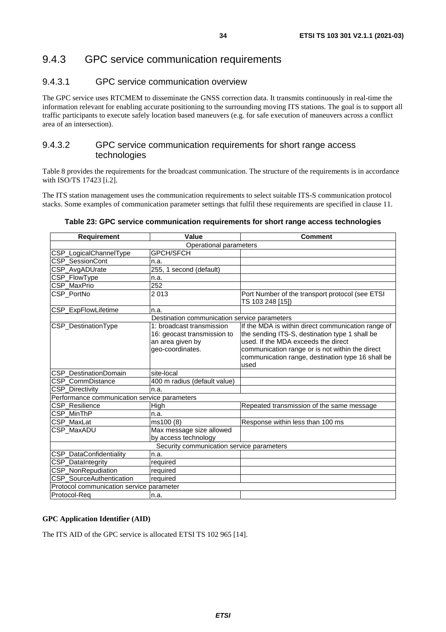### <span id="page-33-0"></span>9.4.3 GPC service communication requirements

#### 9.4.3.1 GPC service communication overview

The GPC service uses RTCMEM to disseminate the GNSS correction data. It transmits continuously in real-time the information relevant for enabling accurate positioning to the surrounding moving ITS stations. The goal is to support all traffic participants to execute safely location based maneuvers (e.g. for safe execution of maneuvers across a conflict area of an intersection).

#### 9.4.3.2 GPC service communication requirements for short range access technologies

[Table 8](#page-19-0) provides the requirements for the broadcast communication. The structure of the requirements is in accordance with ISO/TS 17423 [\[i.2](#page-6-0)].

The ITS station management uses the communication requirements to select suitable ITS-S communication protocol stacks. Some examples of communication parameter settings that fulfil these requirements are specified in clause [11](#page-35-0).

#### **Table 23: GPC service communication requirements for short range access technologies**

| <b>Requirement</b>                           | Value                                                                                            | <b>Comment</b>                                                                                                                                                                                                                                              |
|----------------------------------------------|--------------------------------------------------------------------------------------------------|-------------------------------------------------------------------------------------------------------------------------------------------------------------------------------------------------------------------------------------------------------------|
|                                              | Operational parameters                                                                           |                                                                                                                                                                                                                                                             |
| CSP_LogicalChannelType                       | <b>GPCH/SFCH</b>                                                                                 |                                                                                                                                                                                                                                                             |
| CSP_SessionCont                              | n.a.                                                                                             |                                                                                                                                                                                                                                                             |
| CSP_AvgADUrate                               | 255, 1 second (default)                                                                          |                                                                                                                                                                                                                                                             |
| CSP_FlowType                                 | n.a.                                                                                             |                                                                                                                                                                                                                                                             |
| CSP_MaxPrio                                  | 252                                                                                              |                                                                                                                                                                                                                                                             |
| CSP PortNo                                   | 2013                                                                                             | Port Number of the transport protocol (see ETSI<br>TS 103 248 [15])                                                                                                                                                                                         |
| CSP_ExpFlowLifetime                          | n.a.                                                                                             |                                                                                                                                                                                                                                                             |
|                                              | Destination communication service parameters                                                     |                                                                                                                                                                                                                                                             |
| CSP_DestinationType                          | 1: broadcast transmission<br>16: geocast transmission to<br>an area given by<br>geo-coordinates. | If the MDA is within direct communication range of<br>the sending ITS-S, destination type 1 shall be<br>used. If the MDA exceeds the direct<br>communication range or is not within the direct<br>communication range, destination type 16 shall be<br>used |
| CSP DestinationDomain                        | site-local                                                                                       |                                                                                                                                                                                                                                                             |
| CSP CommDistance                             | 400 m radius (default value)                                                                     |                                                                                                                                                                                                                                                             |
| CSP_Directivity                              | n.a.                                                                                             |                                                                                                                                                                                                                                                             |
| Performance communication service parameters |                                                                                                  |                                                                                                                                                                                                                                                             |
| <b>CSP Resilience</b>                        | High                                                                                             | Repeated transmission of the same message                                                                                                                                                                                                                   |
| CSP MinThP                                   | n.a.                                                                                             |                                                                                                                                                                                                                                                             |
| CSP MaxLat                                   | $\overline{ms100}$ (8)                                                                           | Response within less than 100 ms                                                                                                                                                                                                                            |
| <b>CSP MaxADU</b>                            | Max message size allowed<br>by access technology                                                 |                                                                                                                                                                                                                                                             |
|                                              | Security communication service parameters                                                        |                                                                                                                                                                                                                                                             |
| CSP_DataConfidentiality                      | n.a.                                                                                             |                                                                                                                                                                                                                                                             |
| CSP_DataIntegrity                            | required                                                                                         |                                                                                                                                                                                                                                                             |
| CSP_NonRepudiation                           | required                                                                                         |                                                                                                                                                                                                                                                             |
| CSP_SourceAuthentication                     | required                                                                                         |                                                                                                                                                                                                                                                             |
| Protocol communication service parameter     |                                                                                                  |                                                                                                                                                                                                                                                             |
| Protocol-Reg                                 | n.a.                                                                                             |                                                                                                                                                                                                                                                             |

#### **GPC Application Identifier (AID)**

The ITS AID of the GPC service is allocated ETSI TS 102 965 [\[14](#page-6-0)].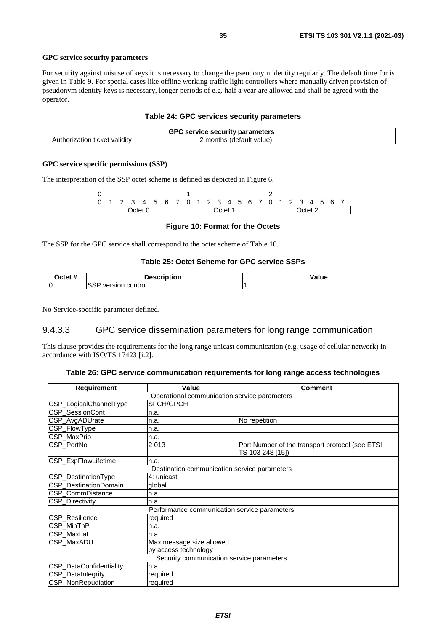#### <span id="page-34-0"></span>**GPC service security parameters**

For security against misuse of keys it is necessary to change the pseudonym identity regularly. The default time for is given in [Table 9](#page-20-0). For special cases like offline working traffic light controllers where manually driven provision of pseudonym identity keys is necessary, longer periods of e.g. half a year are allowed and shall be agreed with the operator.

#### **Table 24: GPC services security parameters**

| <b>GPC</b><br>C service security parameters |                           |  |
|---------------------------------------------|---------------------------|--|
| thorization<br>ticket validity              | (default value)<br>months |  |

#### **GPC service specific permissions (SSP)**

The interpretation of the SSP octet scheme is defined as depicted in [Figure 6](#page-20-0).

0 1 2 0 1 2 3 4 5 6 7 0 1 2 3 4 5 6 7 0 1 2 3 4 5 6 7 Octet 0 Octet 1 Octet 2

#### **Figure 10: Format for the Octets**

The SSP for the GPC service shall correspond to the octet scheme of [Table 10](#page-20-0).

#### **Table 25: Octet Scheme for GPC service SSPs**

| $\bigcap$ ctet $\bigcap$ | <b>Description</b>                                  | '/alue |
|--------------------------|-----------------------------------------------------|--------|
| lO                       | $\sim$ $\sim$ $\sim$<br>control<br>version (<br>ാാг |        |

No Service-specific parameter defined.

#### 9.4.3.3 GPC service dissemination parameters for long range communication

This clause provides the requirements for the long range unicast communication (e.g. usage of cellular network) in accordance with ISO/TS 17423 [\[i.2](#page-6-0)].

#### **Table 26: GPC service communication requirements for long range access technologies**

| <b>Requirement</b>      | Value                                        | <b>Comment</b>                                                      |
|-------------------------|----------------------------------------------|---------------------------------------------------------------------|
|                         | Operational communication service parameters |                                                                     |
| CSP_LogicalChannelType  | SFCH/GPCH                                    |                                                                     |
| CSP_SessionCont         | n.a.                                         |                                                                     |
| CSP_AvgADUrate          | n.a.                                         | No repetition                                                       |
| CSP_FlowType            | n.a.                                         |                                                                     |
| CSP_MaxPrio             | n.a.                                         |                                                                     |
| CSP_PortNo              | 2013                                         | Port Number of the transport protocol (see ETSI<br>TS 103 248 [15]) |
| CSP_ExpFlowLifetime     | n.a.                                         |                                                                     |
|                         | Destination communication service parameters |                                                                     |
| CSP_DestinationType     | 4: unicast                                   |                                                                     |
| CSP_DestinationDomain   | global                                       |                                                                     |
| CSP_CommDistance        | n.a.                                         |                                                                     |
| CSP_Directivity         | n.a.                                         |                                                                     |
|                         | Performance communication service parameters |                                                                     |
| CSP_Resilience          | required                                     |                                                                     |
| CSP_MinThP              | n.a.                                         |                                                                     |
| CSP_MaxLat              | n.a.                                         |                                                                     |
| <b>CSP MaxADU</b>       | Max message size allowed                     |                                                                     |
|                         | by access technology                         |                                                                     |
|                         | Security communication service parameters    |                                                                     |
| CSP_DataConfidentiality | n.a.                                         |                                                                     |
| CSP_DataIntegrity       | required                                     |                                                                     |
| CSP_NonRepudiation      | required                                     |                                                                     |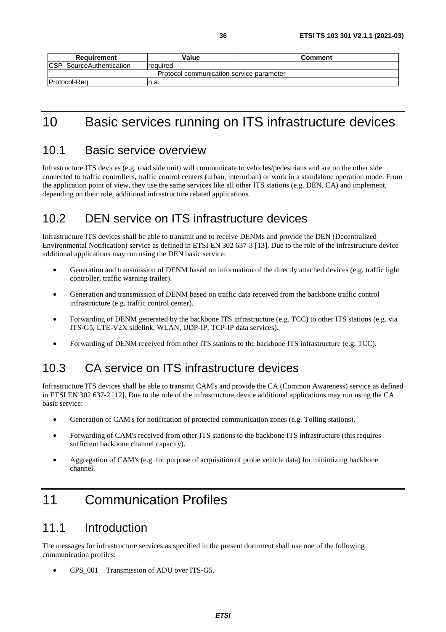<span id="page-35-0"></span>

| Requirement                              | Value    | Comment |
|------------------------------------------|----------|---------|
| <b>CSP_SourceAuthentication</b>          | required |         |
| Protocol communication service parameter |          |         |
| <b>Protocol-Reg</b>                      | n.a.     |         |

# 10 Basic services running on ITS infrastructure devices

### 10.1 Basic service overview

Infrastructure ITS devices (e.g. road side unit) will communicate to vehicles/pedestrians and are on the other side connected to traffic controllers, traffic control centers (urban, interurban) or work in a standalone operation mode. From the application point of view, they use the same services like all other ITS stations (e.g. DEN, CA) and implement, depending on their role, additional infrastructure related applications.

## 10.2 DEN service on ITS infrastructure devices

Infrastructure ITS devices shall be able to transmit and to receive DENMs and provide the DEN (Decentralized Environmental Notification) service as defined in ETSI EN 302 637-3 [\[13](#page-6-0)]. Due to the role of the infrastructure device additional applications may run using the DEN basic service:

- Generation and transmission of DENM based on information of the directly attached devices (e.g. traffic light controller, traffic warning trailer).
- Generation and transmission of DENM based on traffic data received from the backbone traffic control infrastructure (e.g. traffic control center).
- Forwarding of DENM generated by the backbone ITS infrastructure (e.g. TCC) to other ITS stations (e.g. via ITS-G5, LTE-V2X sidelink, WLAN, UDP-IP, TCP-IP data services).
- Forwarding of DENM received from other ITS stations to the backbone ITS infrastructure (e.g. TCC).

# 10.3 CA service on ITS infrastructure devices

Infrastructure ITS devices shall be able to transmit CAM's and provide the CA (Common Awareness) service as defined in ETSI EN 302 637-2 [\[12\]](#page-5-0). Due to the role of the infrastructure device additional applications may run using the CA basic service:

- Generation of CAM's for notification of protected communication zones (e.g. Tolling stations).
- Forwarding of CAM's received from other ITS stations to the backbone ITS infrastructure (this requires sufficient backbone channel capacity).
- Aggregation of CAM's (e.g. for purpose of acquisition of probe vehicle data) for minimizing backbone channel.

# 11 Communication Profiles

## 11.1 Introduction

The messages for infrastructure services as specified in the present document shall use one of the following communication profiles:

• CPS\_001 Transmission of ADU over ITS-G5.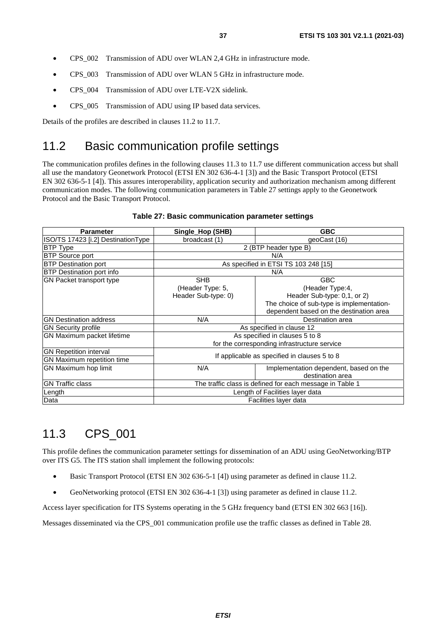- <span id="page-36-0"></span>• CPS\_002 Transmission of ADU over WLAN 2,4 GHz in infrastructure mode.
- CPS 003 Transmission of ADU over WLAN 5 GHz in infrastructure mode.
- CPS 004 Transmission of ADU over LTE-V2X sidelink.
- CPS\_005 Transmission of ADU using IP based data services.

Details of the profiles are described in clauses 11.2 to [11.7](#page-38-0).

## 11.2 Basic communication profile settings

The communication profiles defines in the following clauses 11.3 to [11.7](#page-38-0) use different communication access but shall all use the mandatory Geonetwork Protocol (ETSI EN 302 636-4-1 [\[3](#page-5-0)]) and the Basic Transport Protocol (ETSI EN 302 636-5-1 [\[4](#page-5-0)]). This assures interoperability, application security and authorization mechanism among different communication modes. The following communication parameters in Table 27 settings apply to the Geonetwork Protocol and the Basic Transport Protocol.

| <b>Parameter</b>                   | Single_Hop (SHB)                                         | <b>GBC</b>                                |
|------------------------------------|----------------------------------------------------------|-------------------------------------------|
| ISO/TS 17423 [i.2] DestinationType | broadcast (1)                                            | geoCast (16)                              |
| <b>BTP Type</b>                    |                                                          | 2 (BTP header type B)                     |
| <b>BTP Source port</b>             |                                                          | N/A                                       |
| <b>BTP Destination port</b>        |                                                          | As specified in ETSI TS 103 248 [15]      |
| <b>BTP Destination port info</b>   |                                                          | N/A                                       |
| GN Packet transport type           | <b>SHB</b>                                               | <b>GBC</b>                                |
|                                    | (Header Type: 5,                                         | (Header Type:4,                           |
|                                    | Header Sub-type: 0)                                      | Header Sub-type: 0,1, or 2)               |
|                                    |                                                          | The choice of sub-type is implementation- |
|                                    |                                                          | dependent based on the destination area   |
| <b>GN Destination address</b>      | N/A                                                      | Destination area                          |
| <b>GN Security profile</b>         | As specified in clause 12                                |                                           |
| GN Maximum packet lifetime         | As specified in clauses 5 to 8                           |                                           |
|                                    | for the corresponding infrastructure service             |                                           |
| <b>GN Repetition interval</b>      |                                                          |                                           |
| GN Maximum repetition time         | If applicable as specified in clauses 5 to 8             |                                           |
| GN Maximum hop limit               | N/A                                                      | Implementation dependent, based on the    |
|                                    |                                                          | destination area                          |
| <b>GN Traffic class</b>            | The traffic class is defined for each message in Table 1 |                                           |
| Length                             |                                                          | Length of Facilities layer data           |
| Data                               | Facilities layer data                                    |                                           |

#### **Table 27: Basic communication parameter settings**

# 11.3 CPS\_001

This profile defines the communication parameter settings for dissemination of an ADU using GeoNetworking/BTP over ITS G5. The ITS station shall implement the following protocols:

- Basic Transport Protocol (ETSI EN 302 636-5-1 [\[4](#page-5-0)]) using parameter as defined in clause 11.2.
- GeoNetworking protocol (ETSI EN [3](#page-5-0)02 636-4-1 [3]) using parameter as defined in clause 11.2.

Access layer specification for ITS Systems operating in the 5 GHz frequency band (ETSI EN 302 663 [\[16](#page-6-0)]).

Messages disseminated via the CPS\_001 communication profile use the traffic classes as defined in [Table 28.](#page-37-0)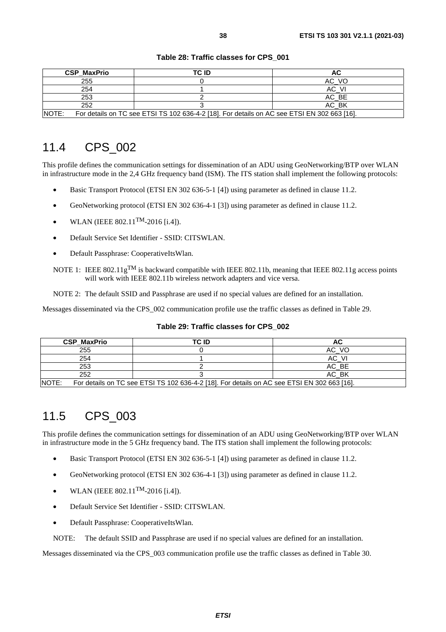#### **Table 28: Traffic classes for CPS\_001**

<span id="page-37-0"></span>

| <b>CSP MaxPrio</b>                                                                                          | TC ID |       |
|-------------------------------------------------------------------------------------------------------------|-------|-------|
| 255                                                                                                         |       | AC VO |
| 254                                                                                                         |       | AC VI |
| 253                                                                                                         |       | AC BE |
| 252                                                                                                         |       | AC BK |
| <b>NOTE:</b><br>For details on TC see ETSI TS 102 636-4-2 [18]. For details on AC see ETSI EN 302 663 [16]. |       |       |

# 11.4 CPS\_002

This profile defines the communication settings for dissemination of an ADU using GeoNetworking/BTP over WLAN in infrastructure mode in the 2,4 GHz frequency band (ISM). The ITS station shall implement the following protocols:

- Basic Transport Protocol (ETSI EN 302 636-5-1 [\[4](#page-5-0)]) using parameter as defined in clause [11.2](#page-36-0).
- GeoNetworking protocol (ETSI EN 302 636-4-1 [[3](#page-5-0)]) using parameter as defined in clause [11.2](#page-36-0).
- WLAN (IEEE 802.11TM-2016 [\[i.4](#page-6-0)]).
- Default Service Set Identifier SSID: CITSWLAN.
- Default Passphrase: CooperativeItsWlan.
- NOTE 1: IEEE 802.11g<sup>TM</sup> is backward compatible with IEEE 802.11b, meaning that IEEE 802.11g access points will work with IEEE 802.11b wireless network adapters and vice versa.

NOTE 2: The default SSID and Passphrase are used if no special values are defined for an installation.

Messages disseminated via the CPS 002 communication profile use the traffic classes as defined in Table 29.

| <b>CSP MaxPrio</b>                                                                                   | TC ID | АC    |
|------------------------------------------------------------------------------------------------------|-------|-------|
| 255                                                                                                  |       | AC VO |
| 254                                                                                                  |       | AC VI |
| 253                                                                                                  |       | AC BE |
| 252                                                                                                  |       | AC BK |
| NOTE:<br>For details on TC see ETSI TS 102 636-4-2 [18]. For details on AC see ETSI EN 302 663 [16]. |       |       |

#### **Table 29: Traffic classes for CPS\_002**

## 11.5 CPS\_003

This profile defines the communication settings for dissemination of an ADU using GeoNetworking/BTP over WLAN in infrastructure mode in the 5 GHz frequency band. The ITS station shall implement the following protocols:

- Basic Transport Protocol (ETSI EN 302 636-5-1 [\[4](#page-5-0)]) using parameter as defined in clause [11.2](#page-36-0).
- GeoNetworking protocol (ETSI EN 302 636-4-1 [[3](#page-5-0)]) using parameter as defined in clause [11.2](#page-36-0).
- WLAN (IEEE 802.11TM-2016 [\[i.4](#page-6-0)]).
- Default Service Set Identifier SSID: CITSWLAN.
- Default Passphrase: CooperativeItsWlan.

NOTE: The default SSID and Passphrase are used if no special values are defined for an installation.

Messages disseminated via the CPS\_003 communication profile use the traffic classes as defined in [Table 30.](#page-38-0)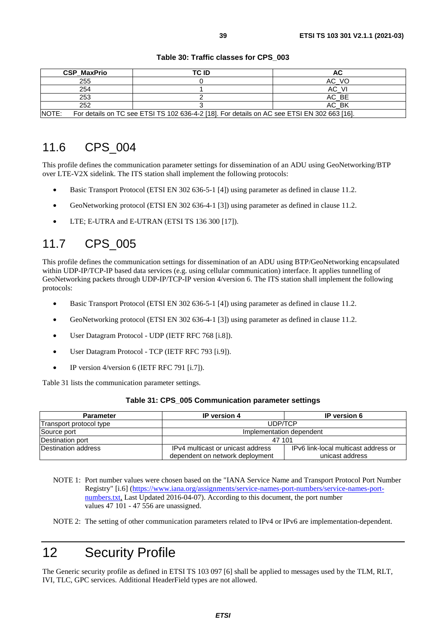#### **Table 30: Traffic classes for CPS\_003**

<span id="page-38-0"></span>

| <b>CSP MaxPrio</b>                                                                                   | TC ID |       |
|------------------------------------------------------------------------------------------------------|-------|-------|
| 255                                                                                                  |       | AC VO |
| 254                                                                                                  |       | AC VI |
| 253                                                                                                  |       | AC BE |
| 252                                                                                                  |       | AC BK |
| NOTE:<br>For details on TC see ETSI TS 102 636-4-2 [18]. For details on AC see ETSI EN 302 663 [16]. |       |       |

### 11.6 CPS\_004

This profile defines the communication parameter settings for dissemination of an ADU using GeoNetworking/BTP over LTE-V2X sidelink. The ITS station shall implement the following protocols:

- Basic Transport Protocol (ETSI EN 302 636-5-1 [\[4](#page-5-0)]) using parameter as defined in clause [11.2](#page-36-0).
- GeoNetworking protocol (ETSI EN 302 636-4-1 [[3](#page-5-0)]) using parameter as defined in clause [11.2](#page-36-0).
- LTE; E-UTRA and E-UTRAN (ETSI TS 136 300 [\[17](#page-6-0)]).

# 11.7 CPS\_005

This profile defines the communication settings for dissemination of an ADU using BTP/GeoNetworking encapsulated within UDP-IP/TCP-IP based data services (e.g. using cellular communication) interface. It applies tunnelling of GeoNetworking packets through UDP-IP/TCP-IP version 4/version 6. The ITS station shall implement the following protocols:

- Basic Transport Protocol (ETSI EN 302 636-5-1 [\[4](#page-5-0)]) using parameter as defined in clause [11.2](#page-36-0).
- GeoNetworking protocol (ETSI EN 302 636-4-1 [[3](#page-5-0)]) using parameter as defined in clause [11.2](#page-36-0).
- User Datagram Protocol UDP (IETF RFC 768 [\[i.8](#page-6-0)]).
- User Datagram Protocol TCP (IETF RFC 793 [\[i.9](#page-6-0)]).
- IP version 4/version 6 (IETF RFC 791 [\[i.7](#page-6-0)]).

Table 31 lists the communication parameter settings.

#### **Table 31: CPS\_005 Communication parameter settings**

| <b>Parameter</b>        | <b>IP</b> version 4                                                  | <b>IP</b> version 6                                     |
|-------------------------|----------------------------------------------------------------------|---------------------------------------------------------|
| Transport protocol type | UDP/TCP                                                              |                                                         |
| Source port             | Implementation dependent                                             |                                                         |
| Destination port        | 47 101                                                               |                                                         |
| Destination address     | IPv4 multicast or unicast address<br>dependent on network deployment | IPv6 link-local multicast address or<br>unicast address |

NOTE 1: Port number values were chosen based on the "IANA Service Name and Transport Protocol Port Number Registry" [\[i.6](#page-6-0)] [\(https://www.iana.org/assignments/service-names-port-numbers/service-names-port](https://www.iana.org/assignments/service-names-port-numbers/service-names-port-numbers.txt)[numbers.txt,](https://www.iana.org/assignments/service-names-port-numbers/service-names-port-numbers.txt) Last Updated 2016-04-07). According to this document, the port number values 47 101 - 47 556 are unassigned.

# 12 Security Profile

The Generic security profile as defined in ETSI TS 103 097 [\[6\]](#page-5-0) shall be applied to messages used by the TLM, RLT, IVI, TLC, GPC services. Additional HeaderField types are not allowed.

NOTE 2: The setting of other communication parameters related to IPv4 or IPv6 are implementation-dependent.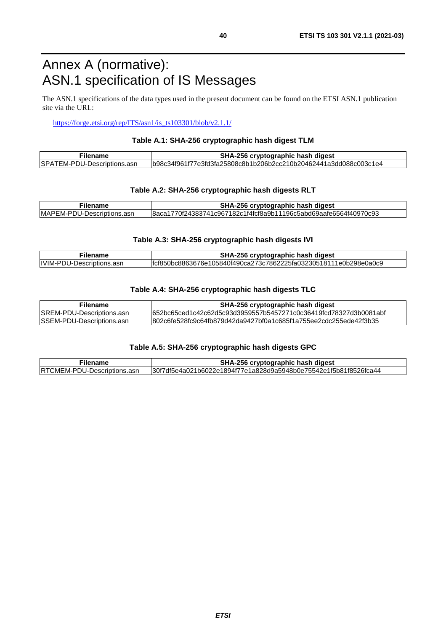# <span id="page-39-0"></span>Annex A (normative): ASN.1 specification of IS Messages

The ASN.1 specifications of the data types used in the present document can be found on the ETSI ASN.1 publication site via the URL:

[https://forge.etsi.org/rep/ITS/asn1/is\\_ts103301/blob/v2.1.1/](https://forge.etsi.org/rep/ITS/asn1/is_ts103301/blob/v2.1.1/)

#### **Table A.1: SHA-256 cryptographic hash digest TLM**

| Filename                     | SHA-256 cryptographic hash digest                                 |
|------------------------------|-------------------------------------------------------------------|
| ISPATEM-PDU-Descriptions.asn | lb98c34f961f77e3fd3fa25808c8b1b206b2cc210b20462441a3dd088c003c1e4 |

#### **Table A.2: SHA-256 cryptographic hash digests RLT**

| Filename                    | SHA-256 cryptographic hash digest                                |
|-----------------------------|------------------------------------------------------------------|
| IMAPEM-PDU-Descriptions.asn | 8aca1770f24383741c967182c1f4fcf8a9b11196c5abd69aafe6564f40970c93 |

#### **Table A.3: SHA-256 cryptographic hash digests IVI**

| <b>Hename</b>              | SHA-256 cryptographic hash digest                                 |
|----------------------------|-------------------------------------------------------------------|
| IIVIM-PDU-Descriptions.asn | lfcf850bc8863676e105840f490ca273c7862225fa03230518111e0b298e0a0c9 |

#### **Table A.4: SHA-256 cryptographic hash digests TLC**

| <b>Filename</b>            | SHA-256 cryptographic hash digest                                 |
|----------------------------|-------------------------------------------------------------------|
| ISREM-PDU-Descriptions.asn | l652bc65ced1c42c62d5c93d3959557b5457271c0c36419fcd78327d3b0081abf |
| ISSEM-PDU-Descriptions.asn | l802c6fe528fc9c64fb879d42da9427bf0a1c685f1a755ee2cdc255ede42f3b35 |

#### **Table A.5: SHA-256 cryptographic hash digests GPC**

| Filename                    | SHA-256 cryptographic hash digest                                 |
|-----------------------------|-------------------------------------------------------------------|
| RTCMEM-PDU-Descriptions.asn | l30f7df5e4a021b6022e1894f77e1a828d9a5948b0e75542e1f5b81f8526fca44 |